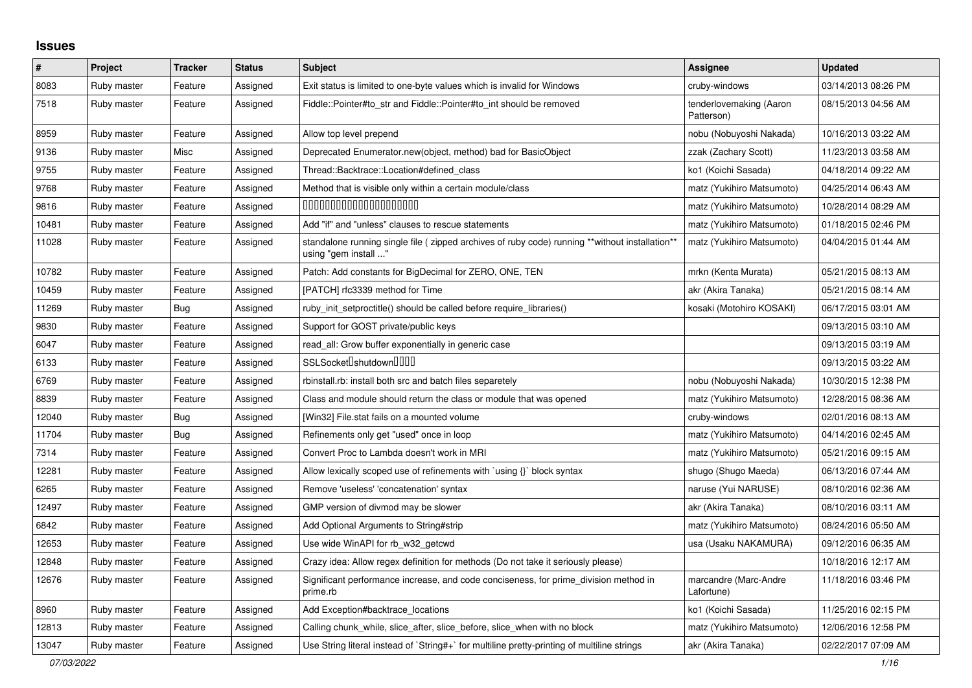## **Issues**

| ∦     | Project     | <b>Tracker</b> | <b>Status</b> | <b>Subject</b>                                                                                                          | Assignee                              | <b>Updated</b>      |
|-------|-------------|----------------|---------------|-------------------------------------------------------------------------------------------------------------------------|---------------------------------------|---------------------|
| 8083  | Ruby master | Feature        | Assigned      | Exit status is limited to one-byte values which is invalid for Windows                                                  | cruby-windows                         | 03/14/2013 08:26 PM |
| 7518  | Ruby master | Feature        | Assigned      | Fiddle::Pointer#to_str and Fiddle::Pointer#to_int should be removed                                                     | tenderlovemaking (Aaron<br>Patterson) | 08/15/2013 04:56 AM |
| 8959  | Ruby master | Feature        | Assigned      | Allow top level prepend                                                                                                 | nobu (Nobuyoshi Nakada)               | 10/16/2013 03:22 AM |
| 9136  | Ruby master | Misc           | Assigned      | Deprecated Enumerator.new(object, method) bad for BasicObject                                                           | zzak (Zachary Scott)                  | 11/23/2013 03:58 AM |
| 9755  | Ruby master | Feature        | Assigned      | Thread::Backtrace::Location#defined class                                                                               | ko1 (Koichi Sasada)                   | 04/18/2014 09:22 AM |
| 9768  | Ruby master | Feature        | Assigned      | Method that is visible only within a certain module/class                                                               | matz (Yukihiro Matsumoto)             | 04/25/2014 06:43 AM |
| 9816  | Ruby master | Feature        | Assigned      | 00000000000000000000                                                                                                    | matz (Yukihiro Matsumoto)             | 10/28/2014 08:29 AM |
| 10481 | Ruby master | Feature        | Assigned      | Add "if" and "unless" clauses to rescue statements                                                                      | matz (Yukihiro Matsumoto)             | 01/18/2015 02:46 PM |
| 11028 | Ruby master | Feature        | Assigned      | standalone running single file ( zipped archives of ruby code) running **without installation**<br>using "gem install " | matz (Yukihiro Matsumoto)             | 04/04/2015 01:44 AM |
| 10782 | Ruby master | Feature        | Assigned      | Patch: Add constants for BigDecimal for ZERO, ONE, TEN                                                                  | mrkn (Kenta Murata)                   | 05/21/2015 08:13 AM |
| 10459 | Ruby master | Feature        | Assigned      | [PATCH] rfc3339 method for Time                                                                                         | akr (Akira Tanaka)                    | 05/21/2015 08:14 AM |
| 11269 | Ruby master | Bug            | Assigned      | ruby init setproctitle() should be called before require libraries()                                                    | kosaki (Motohiro KOSAKI)              | 06/17/2015 03:01 AM |
| 9830  | Ruby master | Feature        | Assigned      | Support for GOST private/public keys                                                                                    |                                       | 09/13/2015 03:10 AM |
| 6047  | Ruby master | Feature        | Assigned      | read_all: Grow buffer exponentially in generic case                                                                     |                                       | 09/13/2015 03:19 AM |
| 6133  | Ruby master | Feature        | Assigned      | SSLSocket <sup>[</sup> shutdown <sup>[11]</sup>                                                                         |                                       | 09/13/2015 03:22 AM |
| 6769  | Ruby master | Feature        | Assigned      | rbinstall.rb: install both src and batch files separetely                                                               | nobu (Nobuyoshi Nakada)               | 10/30/2015 12:38 PM |
| 8839  | Ruby master | Feature        | Assigned      | Class and module should return the class or module that was opened                                                      | matz (Yukihiro Matsumoto)             | 12/28/2015 08:36 AM |
| 12040 | Ruby master | Bug            | Assigned      | [Win32] File.stat fails on a mounted volume                                                                             | cruby-windows                         | 02/01/2016 08:13 AM |
| 11704 | Ruby master | <b>Bug</b>     | Assigned      | Refinements only get "used" once in loop                                                                                | matz (Yukihiro Matsumoto)             | 04/14/2016 02:45 AM |
| 7314  | Ruby master | Feature        | Assigned      | Convert Proc to Lambda doesn't work in MRI                                                                              | matz (Yukihiro Matsumoto)             | 05/21/2016 09:15 AM |
| 12281 | Ruby master | Feature        | Assigned      | Allow lexically scoped use of refinements with `using {}` block syntax                                                  | shugo (Shugo Maeda)                   | 06/13/2016 07:44 AM |
| 6265  | Ruby master | Feature        | Assigned      | Remove 'useless' 'concatenation' syntax                                                                                 | naruse (Yui NARUSE)                   | 08/10/2016 02:36 AM |
| 12497 | Ruby master | Feature        | Assigned      | GMP version of divmod may be slower                                                                                     | akr (Akira Tanaka)                    | 08/10/2016 03:11 AM |
| 6842  | Ruby master | Feature        | Assigned      | Add Optional Arguments to String#strip                                                                                  | matz (Yukihiro Matsumoto)             | 08/24/2016 05:50 AM |
| 12653 | Ruby master | Feature        | Assigned      | Use wide WinAPI for rb_w32_getcwd                                                                                       | usa (Usaku NAKAMURA)                  | 09/12/2016 06:35 AM |
| 12848 | Ruby master | Feature        | Assigned      | Crazy idea: Allow regex definition for methods (Do not take it seriously please)                                        |                                       | 10/18/2016 12:17 AM |
| 12676 | Ruby master | Feature        | Assigned      | Significant performance increase, and code conciseness, for prime_division method in<br>prime.rb                        | marcandre (Marc-Andre<br>Lafortune)   | 11/18/2016 03:46 PM |
| 8960  | Ruby master | Feature        | Assigned      | Add Exception#backtrace_locations                                                                                       | ko1 (Koichi Sasada)                   | 11/25/2016 02:15 PM |
| 12813 | Ruby master | Feature        | Assigned      | Calling chunk_while, slice_after, slice_before, slice_when with no block                                                | matz (Yukihiro Matsumoto)             | 12/06/2016 12:58 PM |
| 13047 | Ruby master | Feature        | Assigned      | Use String literal instead of `String#+` for multiline pretty-printing of multiline strings                             | akr (Akira Tanaka)                    | 02/22/2017 07:09 AM |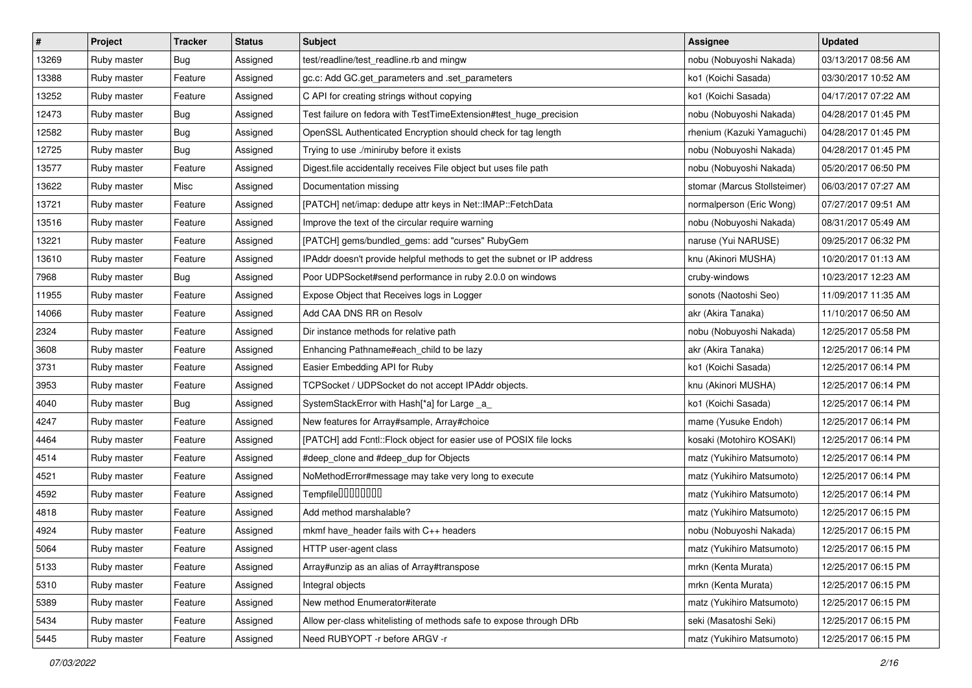| $\vert$ # | Project     | <b>Tracker</b> | <b>Status</b> | <b>Subject</b>                                                         | Assignee                     | <b>Updated</b>      |
|-----------|-------------|----------------|---------------|------------------------------------------------------------------------|------------------------------|---------------------|
| 13269     | Ruby master | Bug            | Assigned      | test/readline/test_readline.rb and mingw                               | nobu (Nobuyoshi Nakada)      | 03/13/2017 08:56 AM |
| 13388     | Ruby master | Feature        | Assigned      | gc.c: Add GC.get_parameters and .set_parameters                        | ko1 (Koichi Sasada)          | 03/30/2017 10:52 AM |
| 13252     | Ruby master | Feature        | Assigned      | C API for creating strings without copying                             | ko1 (Koichi Sasada)          | 04/17/2017 07:22 AM |
| 12473     | Ruby master | Bug            | Assigned      | Test failure on fedora with TestTimeExtension#test_huge_precision      | nobu (Nobuyoshi Nakada)      | 04/28/2017 01:45 PM |
| 12582     | Ruby master | Bug            | Assigned      | OpenSSL Authenticated Encryption should check for tag length           | rhenium (Kazuki Yamaguchi)   | 04/28/2017 01:45 PM |
| 12725     | Ruby master | Bug            | Assigned      | Trying to use ./miniruby before it exists                              | nobu (Nobuyoshi Nakada)      | 04/28/2017 01:45 PM |
| 13577     | Ruby master | Feature        | Assigned      | Digest.file accidentally receives File object but uses file path       | nobu (Nobuyoshi Nakada)      | 05/20/2017 06:50 PM |
| 13622     | Ruby master | Misc           | Assigned      | Documentation missing                                                  | stomar (Marcus Stollsteimer) | 06/03/2017 07:27 AM |
| 13721     | Ruby master | Feature        | Assigned      | [PATCH] net/imap: dedupe attr keys in Net::IMAP::FetchData             | normalperson (Eric Wong)     | 07/27/2017 09:51 AM |
| 13516     | Ruby master | Feature        | Assigned      | Improve the text of the circular require warning                       | nobu (Nobuyoshi Nakada)      | 08/31/2017 05:49 AM |
| 13221     | Ruby master | Feature        | Assigned      | [PATCH] gems/bundled_gems: add "curses" RubyGem                        | naruse (Yui NARUSE)          | 09/25/2017 06:32 PM |
| 13610     | Ruby master | Feature        | Assigned      | IPAddr doesn't provide helpful methods to get the subnet or IP address | knu (Akinori MUSHA)          | 10/20/2017 01:13 AM |
| 7968      | Ruby master | Bug            | Assigned      | Poor UDPSocket#send performance in ruby 2.0.0 on windows               | cruby-windows                | 10/23/2017 12:23 AM |
| 11955     | Ruby master | Feature        | Assigned      | Expose Object that Receives logs in Logger                             | sonots (Naotoshi Seo)        | 11/09/2017 11:35 AM |
| 14066     | Ruby master | Feature        | Assigned      | Add CAA DNS RR on Resolv                                               | akr (Akira Tanaka)           | 11/10/2017 06:50 AM |
| 2324      | Ruby master | Feature        | Assigned      | Dir instance methods for relative path                                 | nobu (Nobuyoshi Nakada)      | 12/25/2017 05:58 PM |
| 3608      | Ruby master | Feature        | Assigned      | Enhancing Pathname#each_child to be lazy                               | akr (Akira Tanaka)           | 12/25/2017 06:14 PM |
| 3731      | Ruby master | Feature        | Assigned      | Easier Embedding API for Ruby                                          | ko1 (Koichi Sasada)          | 12/25/2017 06:14 PM |
| 3953      | Ruby master | Feature        | Assigned      | TCPSocket / UDPSocket do not accept IPAddr objects.                    | knu (Akinori MUSHA)          | 12/25/2017 06:14 PM |
| 4040      | Ruby master | Bug            | Assigned      | SystemStackError with Hash[*a] for Large _a_                           | ko1 (Koichi Sasada)          | 12/25/2017 06:14 PM |
| 4247      | Ruby master | Feature        | Assigned      | New features for Array#sample, Array#choice                            | mame (Yusuke Endoh)          | 12/25/2017 06:14 PM |
| 4464      | Ruby master | Feature        | Assigned      | [PATCH] add Fcntl::Flock object for easier use of POSIX file locks     | kosaki (Motohiro KOSAKI)     | 12/25/2017 06:14 PM |
| 4514      | Ruby master | Feature        | Assigned      | #deep_clone and #deep_dup for Objects                                  | matz (Yukihiro Matsumoto)    | 12/25/2017 06:14 PM |
| 4521      | Ruby master | Feature        | Assigned      | NoMethodError#message may take very long to execute                    | matz (Yukihiro Matsumoto)    | 12/25/2017 06:14 PM |
| 4592      | Ruby master | Feature        | Assigned      | Tempfile0000000                                                        | matz (Yukihiro Matsumoto)    | 12/25/2017 06:14 PM |
| 4818      | Ruby master | Feature        | Assigned      | Add method marshalable?                                                | matz (Yukihiro Matsumoto)    | 12/25/2017 06:15 PM |
| 4924      | Ruby master | Feature        | Assigned      | mkmf have_header fails with C++ headers                                | nobu (Nobuyoshi Nakada)      | 12/25/2017 06:15 PM |
| 5064      | Ruby master | Feature        | Assigned      | HTTP user-agent class                                                  | matz (Yukihiro Matsumoto)    | 12/25/2017 06:15 PM |
| 5133      | Ruby master | Feature        | Assigned      | Array#unzip as an alias of Array#transpose                             | mrkn (Kenta Murata)          | 12/25/2017 06:15 PM |
| 5310      | Ruby master | Feature        | Assigned      | Integral objects                                                       | mrkn (Kenta Murata)          | 12/25/2017 06:15 PM |
| 5389      | Ruby master | Feature        | Assigned      | New method Enumerator#iterate                                          | matz (Yukihiro Matsumoto)    | 12/25/2017 06:15 PM |
| 5434      | Ruby master | Feature        | Assigned      | Allow per-class whitelisting of methods safe to expose through DRb     | seki (Masatoshi Seki)        | 12/25/2017 06:15 PM |
| 5445      | Ruby master | Feature        | Assigned      | Need RUBYOPT - r before ARGV - r                                       | matz (Yukihiro Matsumoto)    | 12/25/2017 06:15 PM |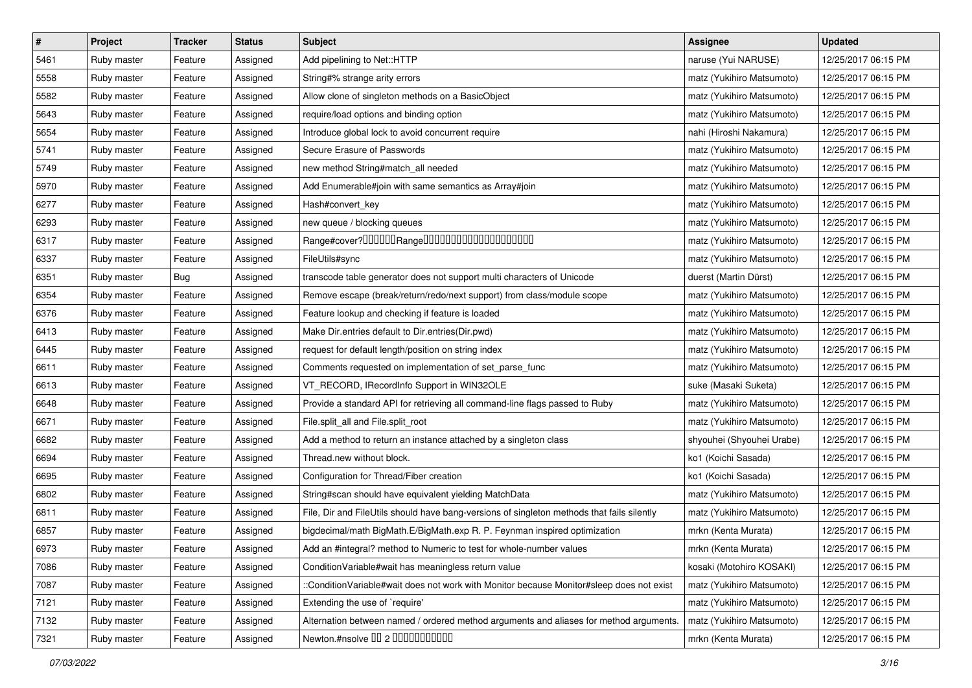| $\vert$ # | Project     | <b>Tracker</b> | <b>Status</b> | <b>Subject</b>                                                                             | Assignee                  | <b>Updated</b>      |
|-----------|-------------|----------------|---------------|--------------------------------------------------------------------------------------------|---------------------------|---------------------|
| 5461      | Ruby master | Feature        | Assigned      | Add pipelining to Net::HTTP                                                                | naruse (Yui NARUSE)       | 12/25/2017 06:15 PM |
| 5558      | Ruby master | Feature        | Assigned      | String#% strange arity errors                                                              | matz (Yukihiro Matsumoto) | 12/25/2017 06:15 PM |
| 5582      | Ruby master | Feature        | Assigned      | Allow clone of singleton methods on a BasicObject                                          | matz (Yukihiro Matsumoto) | 12/25/2017 06:15 PM |
| 5643      | Ruby master | Feature        | Assigned      | require/load options and binding option                                                    | matz (Yukihiro Matsumoto) | 12/25/2017 06:15 PM |
| 5654      | Ruby master | Feature        | Assigned      | Introduce global lock to avoid concurrent require                                          | nahi (Hiroshi Nakamura)   | 12/25/2017 06:15 PM |
| 5741      | Ruby master | Feature        | Assigned      | Secure Erasure of Passwords                                                                | matz (Yukihiro Matsumoto) | 12/25/2017 06:15 PM |
| 5749      | Ruby master | Feature        | Assigned      | new method String#match_all needed                                                         | matz (Yukihiro Matsumoto) | 12/25/2017 06:15 PM |
| 5970      | Ruby master | Feature        | Assigned      | Add Enumerable#join with same semantics as Array#join                                      | matz (Yukihiro Matsumoto) | 12/25/2017 06:15 PM |
| 6277      | Ruby master | Feature        | Assigned      | Hash#convert_key                                                                           | matz (Yukihiro Matsumoto) | 12/25/2017 06:15 PM |
| 6293      | Ruby master | Feature        | Assigned      | new queue / blocking queues                                                                | matz (Yukihiro Matsumoto) | 12/25/2017 06:15 PM |
| 6317      | Ruby master | Feature        | Assigned      |                                                                                            | matz (Yukihiro Matsumoto) | 12/25/2017 06:15 PM |
| 6337      | Ruby master | Feature        | Assigned      | FileUtils#sync                                                                             | matz (Yukihiro Matsumoto) | 12/25/2017 06:15 PM |
| 6351      | Ruby master | <b>Bug</b>     | Assigned      | transcode table generator does not support multi characters of Unicode                     | duerst (Martin Dürst)     | 12/25/2017 06:15 PM |
| 6354      | Ruby master | Feature        | Assigned      | Remove escape (break/return/redo/next support) from class/module scope                     | matz (Yukihiro Matsumoto) | 12/25/2017 06:15 PM |
| 6376      | Ruby master | Feature        | Assigned      | Feature lookup and checking if feature is loaded                                           | matz (Yukihiro Matsumoto) | 12/25/2017 06:15 PM |
| 6413      | Ruby master | Feature        | Assigned      | Make Dir.entries default to Dir.entries(Dir.pwd)                                           | matz (Yukihiro Matsumoto) | 12/25/2017 06:15 PM |
| 6445      | Ruby master | Feature        | Assigned      | request for default length/position on string index                                        | matz (Yukihiro Matsumoto) | 12/25/2017 06:15 PM |
| 6611      | Ruby master | Feature        | Assigned      | Comments requested on implementation of set_parse_func                                     | matz (Yukihiro Matsumoto) | 12/25/2017 06:15 PM |
| 6613      | Ruby master | Feature        | Assigned      | VT_RECORD, IRecordInfo Support in WIN32OLE                                                 | suke (Masaki Suketa)      | 12/25/2017 06:15 PM |
| 6648      | Ruby master | Feature        | Assigned      | Provide a standard API for retrieving all command-line flags passed to Ruby                | matz (Yukihiro Matsumoto) | 12/25/2017 06:15 PM |
| 6671      | Ruby master | Feature        | Assigned      | File.split_all and File.split_root                                                         | matz (Yukihiro Matsumoto) | 12/25/2017 06:15 PM |
| 6682      | Ruby master | Feature        | Assigned      | Add a method to return an instance attached by a singleton class                           | shyouhei (Shyouhei Urabe) | 12/25/2017 06:15 PM |
| 6694      | Ruby master | Feature        | Assigned      | Thread.new without block.                                                                  | ko1 (Koichi Sasada)       | 12/25/2017 06:15 PM |
| 6695      | Ruby master | Feature        | Assigned      | Configuration for Thread/Fiber creation                                                    | ko1 (Koichi Sasada)       | 12/25/2017 06:15 PM |
| 6802      | Ruby master | Feature        | Assigned      | String#scan should have equivalent yielding MatchData                                      | matz (Yukihiro Matsumoto) | 12/25/2017 06:15 PM |
| 6811      | Ruby master | Feature        | Assigned      | File, Dir and FileUtils should have bang-versions of singleton methods that fails silently | matz (Yukihiro Matsumoto) | 12/25/2017 06:15 PM |
| 6857      | Ruby master | Feature        | Assigned      | bigdecimal/math BigMath.E/BigMath.exp R. P. Feynman inspired optimization                  | mrkn (Kenta Murata)       | 12/25/2017 06:15 PM |
| 6973      | Ruby master | Feature        | Assigned      | Add an #integral? method to Numeric to test for whole-number values                        | mrkn (Kenta Murata)       | 12/25/2017 06:15 PM |
| 7086      | Ruby master | Feature        | Assigned      | Condition Variable#wait has meaningless return value                                       | kosaki (Motohiro KOSAKI)  | 12/25/2017 06:15 PM |
| 7087      | Ruby master | Feature        | Assigned      | ::ConditionVariable#wait does not work with Monitor because Monitor#sleep does not exist   | matz (Yukihiro Matsumoto) | 12/25/2017 06:15 PM |
| 7121      | Ruby master | Feature        | Assigned      | Extending the use of `require'                                                             | matz (Yukihiro Matsumoto) | 12/25/2017 06:15 PM |
| 7132      | Ruby master | Feature        | Assigned      | Alternation between named / ordered method arguments and aliases for method arguments.     | matz (Yukihiro Matsumoto) | 12/25/2017 06:15 PM |
| 7321      | Ruby master | Feature        | Assigned      | Newton.#nsolve 00 2 0000000000                                                             | mrkn (Kenta Murata)       | 12/25/2017 06:15 PM |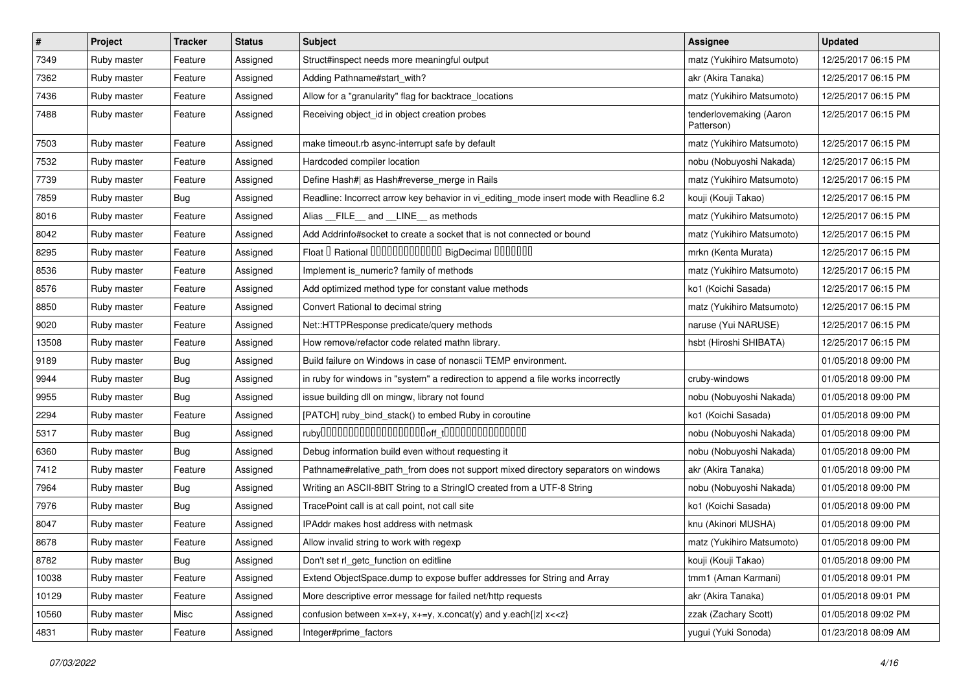| #     | Project     | <b>Tracker</b> | <b>Status</b> | <b>Subject</b>                                                                          | Assignee                              | <b>Updated</b>      |
|-------|-------------|----------------|---------------|-----------------------------------------------------------------------------------------|---------------------------------------|---------------------|
| 7349  | Ruby master | Feature        | Assigned      | Struct#inspect needs more meaningful output                                             | matz (Yukihiro Matsumoto)             | 12/25/2017 06:15 PM |
| 7362  | Ruby master | Feature        | Assigned      | Adding Pathname#start_with?                                                             | akr (Akira Tanaka)                    | 12/25/2017 06:15 PM |
| 7436  | Ruby master | Feature        | Assigned      | Allow for a "granularity" flag for backtrace_locations                                  | matz (Yukihiro Matsumoto)             | 12/25/2017 06:15 PM |
| 7488  | Ruby master | Feature        | Assigned      | Receiving object_id in object creation probes                                           | tenderlovemaking (Aaron<br>Patterson) | 12/25/2017 06:15 PM |
| 7503  | Ruby master | Feature        | Assigned      | make timeout.rb async-interrupt safe by default                                         | matz (Yukihiro Matsumoto)             | 12/25/2017 06:15 PM |
| 7532  | Ruby master | Feature        | Assigned      | Hardcoded compiler location                                                             | nobu (Nobuyoshi Nakada)               | 12/25/2017 06:15 PM |
| 7739  | Ruby master | Feature        | Assigned      | Define Hash#  as Hash#reverse_merge in Rails                                            | matz (Yukihiro Matsumoto)             | 12/25/2017 06:15 PM |
| 7859  | Ruby master | <b>Bug</b>     | Assigned      | Readline: Incorrect arrow key behavior in vi_editing_mode insert mode with Readline 6.2 | kouji (Kouji Takao)                   | 12/25/2017 06:15 PM |
| 8016  | Ruby master | Feature        | Assigned      | Alias FILE and LINE as methods                                                          | matz (Yukihiro Matsumoto)             | 12/25/2017 06:15 PM |
| 8042  | Ruby master | Feature        | Assigned      | Add Addrinfo#socket to create a socket that is not connected or bound                   | matz (Yukihiro Matsumoto)             | 12/25/2017 06:15 PM |
| 8295  | Ruby master | Feature        | Assigned      | Float I Rational 0000000000000 BigDecimal 0000000                                       | mrkn (Kenta Murata)                   | 12/25/2017 06:15 PM |
| 8536  | Ruby master | Feature        | Assigned      | Implement is_numeric? family of methods                                                 | matz (Yukihiro Matsumoto)             | 12/25/2017 06:15 PM |
| 8576  | Ruby master | Feature        | Assigned      | Add optimized method type for constant value methods                                    | ko1 (Koichi Sasada)                   | 12/25/2017 06:15 PM |
| 8850  | Ruby master | Feature        | Assigned      | Convert Rational to decimal string                                                      | matz (Yukihiro Matsumoto)             | 12/25/2017 06:15 PM |
| 9020  | Ruby master | Feature        | Assigned      | Net::HTTPResponse predicate/query methods                                               | naruse (Yui NARUSE)                   | 12/25/2017 06:15 PM |
| 13508 | Ruby master | Feature        | Assigned      | How remove/refactor code related mathn library.                                         | hsbt (Hiroshi SHIBATA)                | 12/25/2017 06:15 PM |
| 9189  | Ruby master | <b>Bug</b>     | Assigned      | Build failure on Windows in case of nonascii TEMP environment.                          |                                       | 01/05/2018 09:00 PM |
| 9944  | Ruby master | <b>Bug</b>     | Assigned      | in ruby for windows in "system" a redirection to append a file works incorrectly        | cruby-windows                         | 01/05/2018 09:00 PM |
| 9955  | Ruby master | Bug            | Assigned      | issue building dll on mingw, library not found                                          | nobu (Nobuyoshi Nakada)               | 01/05/2018 09:00 PM |
| 2294  | Ruby master | Feature        | Assigned      | [PATCH] ruby_bind_stack() to embed Ruby in coroutine                                    | ko1 (Koichi Sasada)                   | 01/05/2018 09:00 PM |
| 5317  | Ruby master | <b>Bug</b>     | Assigned      |                                                                                         | nobu (Nobuyoshi Nakada)               | 01/05/2018 09:00 PM |
| 6360  | Ruby master | <b>Bug</b>     | Assigned      | Debug information build even without requesting it                                      | nobu (Nobuyoshi Nakada)               | 01/05/2018 09:00 PM |
| 7412  | Ruby master | Feature        | Assigned      | Pathname#relative_path_from does not support mixed directory separators on windows      | akr (Akira Tanaka)                    | 01/05/2018 09:00 PM |
| 7964  | Ruby master | Bug            | Assigned      | Writing an ASCII-8BIT String to a StringIO created from a UTF-8 String                  | nobu (Nobuyoshi Nakada)               | 01/05/2018 09:00 PM |
| 7976  | Ruby master | <b>Bug</b>     | Assigned      | TracePoint call is at call point, not call site                                         | ko1 (Koichi Sasada)                   | 01/05/2018 09:00 PM |
| 8047  | Ruby master | Feature        | Assigned      | IPAddr makes host address with netmask                                                  | knu (Akinori MUSHA)                   | 01/05/2018 09:00 PM |
| 8678  | Ruby master | Feature        | Assigned      | Allow invalid string to work with regexp                                                | matz (Yukihiro Matsumoto)             | 01/05/2018 09:00 PM |
| 8782  | Ruby master | <b>Bug</b>     | Assigned      | Don't set rl_getc_function on editline                                                  | kouji (Kouji Takao)                   | 01/05/2018 09:00 PM |
| 10038 | Ruby master | Feature        | Assigned      | Extend ObjectSpace.dump to expose buffer addresses for String and Array                 | tmm1 (Aman Karmani)                   | 01/05/2018 09:01 PM |
| 10129 | Ruby master | Feature        | Assigned      | More descriptive error message for failed net/http requests                             | akr (Akira Tanaka)                    | 01/05/2018 09:01 PM |
| 10560 | Ruby master | Misc           | Assigned      | confusion between $x=x+y$ , $x+=y$ , x.concat(y) and y.each{ z  $x<}$                   | zzak (Zachary Scott)                  | 01/05/2018 09:02 PM |
| 4831  | Ruby master | Feature        | Assigned      | Integer#prime_factors                                                                   | yugui (Yuki Sonoda)                   | 01/23/2018 08:09 AM |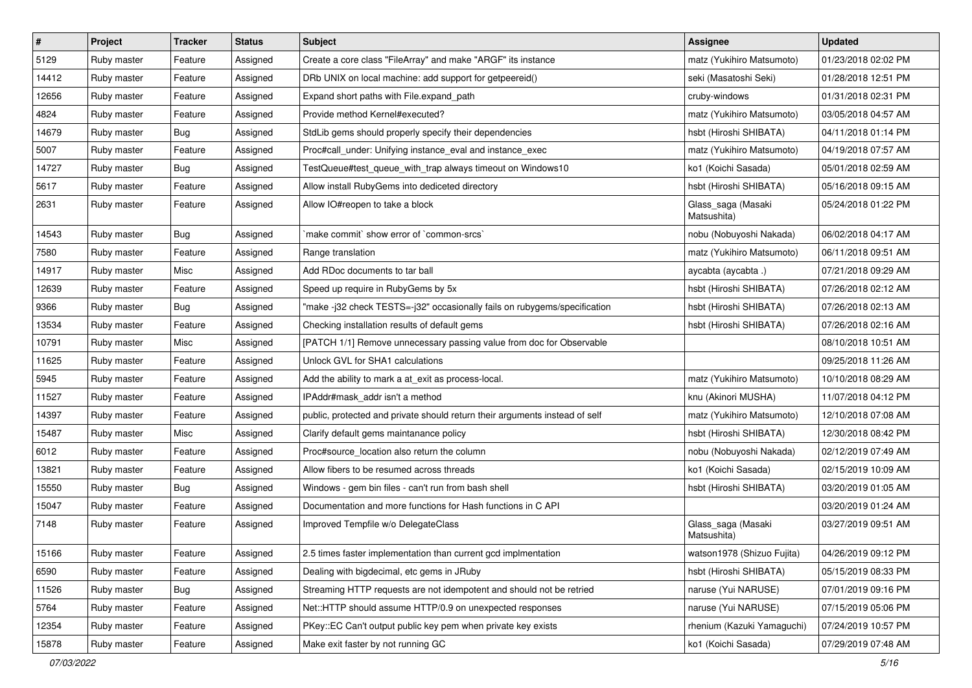| $\vert$ # | Project     | <b>Tracker</b> | <b>Status</b> | Subject                                                                     | Assignee                          | <b>Updated</b>      |
|-----------|-------------|----------------|---------------|-----------------------------------------------------------------------------|-----------------------------------|---------------------|
| 5129      | Ruby master | Feature        | Assigned      | Create a core class "FileArray" and make "ARGF" its instance                | matz (Yukihiro Matsumoto)         | 01/23/2018 02:02 PM |
| 14412     | Ruby master | Feature        | Assigned      | DRb UNIX on local machine: add support for getpeereid()                     | seki (Masatoshi Seki)             | 01/28/2018 12:51 PM |
| 12656     | Ruby master | Feature        | Assigned      | Expand short paths with File.expand path                                    | cruby-windows                     | 01/31/2018 02:31 PM |
| 4824      | Ruby master | Feature        | Assigned      | Provide method Kernel#executed?                                             | matz (Yukihiro Matsumoto)         | 03/05/2018 04:57 AM |
| 14679     | Ruby master | Bug            | Assigned      | StdLib gems should properly specify their dependencies                      | hsbt (Hiroshi SHIBATA)            | 04/11/2018 01:14 PM |
| 5007      | Ruby master | Feature        | Assigned      | Proc#call_under: Unifying instance_eval and instance_exec                   | matz (Yukihiro Matsumoto)         | 04/19/2018 07:57 AM |
| 14727     | Ruby master | Bug            | Assigned      | TestQueue#test_queue_with_trap always timeout on Windows10                  | ko1 (Koichi Sasada)               | 05/01/2018 02:59 AM |
| 5617      | Ruby master | Feature        | Assigned      | Allow install RubyGems into dediceted directory                             | hsbt (Hiroshi SHIBATA)            | 05/16/2018 09:15 AM |
| 2631      | Ruby master | Feature        | Assigned      | Allow IO#reopen to take a block                                             | Glass_saga (Masaki<br>Matsushita) | 05/24/2018 01:22 PM |
| 14543     | Ruby master | Bug            | Assigned      | `make commit` show error of `common-srcs`                                   | nobu (Nobuyoshi Nakada)           | 06/02/2018 04:17 AM |
| 7580      | Ruby master | Feature        | Assigned      | Range translation                                                           | matz (Yukihiro Matsumoto)         | 06/11/2018 09:51 AM |
| 14917     | Ruby master | Misc           | Assigned      | Add RDoc documents to tar ball                                              | aycabta (aycabta.)                | 07/21/2018 09:29 AM |
| 12639     | Ruby master | Feature        | Assigned      | Speed up require in RubyGems by 5x                                          | hsbt (Hiroshi SHIBATA)            | 07/26/2018 02:12 AM |
| 9366      | Ruby master | Bug            | Assigned      | "make -j32 check TESTS=-j32" occasionally fails on rubygems/specification   | hsbt (Hiroshi SHIBATA)            | 07/26/2018 02:13 AM |
| 13534     | Ruby master | Feature        | Assigned      | Checking installation results of default gems                               | hsbt (Hiroshi SHIBATA)            | 07/26/2018 02:16 AM |
| 10791     | Ruby master | Misc           | Assigned      | [PATCH 1/1] Remove unnecessary passing value from doc for Observable        |                                   | 08/10/2018 10:51 AM |
| 11625     | Ruby master | Feature        | Assigned      | Unlock GVL for SHA1 calculations                                            |                                   | 09/25/2018 11:26 AM |
| 5945      | Ruby master | Feature        | Assigned      | Add the ability to mark a at exit as process-local.                         | matz (Yukihiro Matsumoto)         | 10/10/2018 08:29 AM |
| 11527     | Ruby master | Feature        | Assigned      | IPAddr#mask addr isn't a method                                             | knu (Akinori MUSHA)               | 11/07/2018 04:12 PM |
| 14397     | Ruby master | Feature        | Assigned      | public, protected and private should return their arguments instead of self | matz (Yukihiro Matsumoto)         | 12/10/2018 07:08 AM |
| 15487     | Ruby master | Misc           | Assigned      | Clarify default gems maintanance policy                                     | hsbt (Hiroshi SHIBATA)            | 12/30/2018 08:42 PM |
| 6012      | Ruby master | Feature        | Assigned      | Proc#source_location also return the column                                 | nobu (Nobuyoshi Nakada)           | 02/12/2019 07:49 AM |
| 13821     | Ruby master | Feature        | Assigned      | Allow fibers to be resumed across threads                                   | ko1 (Koichi Sasada)               | 02/15/2019 10:09 AM |
| 15550     | Ruby master | <b>Bug</b>     | Assigned      | Windows - gem bin files - can't run from bash shell                         | hsbt (Hiroshi SHIBATA)            | 03/20/2019 01:05 AM |
| 15047     | Ruby master | Feature        | Assigned      | Documentation and more functions for Hash functions in C API                |                                   | 03/20/2019 01:24 AM |
| 7148      | Ruby master | Feature        | Assigned      | Improved Tempfile w/o DelegateClass                                         | Glass_saga (Masaki<br>Matsushita) | 03/27/2019 09:51 AM |
| 15166     | Ruby master | Feature        | Assigned      | 2.5 times faster implementation than current gcd implmentation              | watson1978 (Shizuo Fujita)        | 04/26/2019 09:12 PM |
| 6590      | Ruby master | Feature        | Assigned      | Dealing with bigdecimal, etc gems in JRuby                                  | hsbt (Hiroshi SHIBATA)            | 05/15/2019 08:33 PM |
| 11526     | Ruby master | <b>Bug</b>     | Assigned      | Streaming HTTP requests are not idempotent and should not be retried        | naruse (Yui NARUSE)               | 07/01/2019 09:16 PM |
| 5764      | Ruby master | Feature        | Assigned      | Net::HTTP should assume HTTP/0.9 on unexpected responses                    | naruse (Yui NARUSE)               | 07/15/2019 05:06 PM |
| 12354     | Ruby master | Feature        | Assigned      | PKey::EC Can't output public key pem when private key exists                | rhenium (Kazuki Yamaguchi)        | 07/24/2019 10:57 PM |
| 15878     | Ruby master | Feature        | Assigned      | Make exit faster by not running GC                                          | ko1 (Koichi Sasada)               | 07/29/2019 07:48 AM |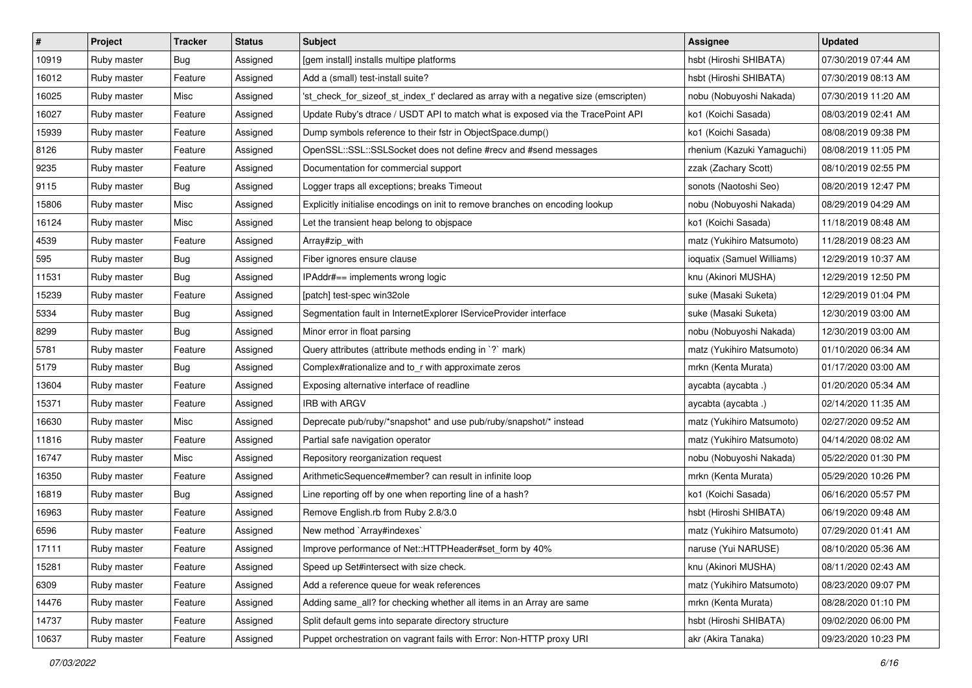| $\vert$ # | Project     | <b>Tracker</b> | <b>Status</b> | Subject                                                                              | Assignee                   | <b>Updated</b>      |
|-----------|-------------|----------------|---------------|--------------------------------------------------------------------------------------|----------------------------|---------------------|
| 10919     | Ruby master | Bug            | Assigned      | [gem install] installs multipe platforms                                             | hsbt (Hiroshi SHIBATA)     | 07/30/2019 07:44 AM |
| 16012     | Ruby master | Feature        | Assigned      | Add a (small) test-install suite?                                                    | hsbt (Hiroshi SHIBATA)     | 07/30/2019 08:13 AM |
| 16025     | Ruby master | Misc           | Assigned      | 'st_check_for_sizeof_st_index_t' declared as array with a negative size (emscripten) | nobu (Nobuyoshi Nakada)    | 07/30/2019 11:20 AM |
| 16027     | Ruby master | Feature        | Assigned      | Update Ruby's dtrace / USDT API to match what is exposed via the TracePoint API      | ko1 (Koichi Sasada)        | 08/03/2019 02:41 AM |
| 15939     | Ruby master | Feature        | Assigned      | Dump symbols reference to their fstr in ObjectSpace.dump()                           | ko1 (Koichi Sasada)        | 08/08/2019 09:38 PM |
| 8126      | Ruby master | Feature        | Assigned      | OpenSSL::SSL::SSLSocket does not define #recv and #send messages                     | rhenium (Kazuki Yamaguchi) | 08/08/2019 11:05 PM |
| 9235      | Ruby master | Feature        | Assigned      | Documentation for commercial support                                                 | zzak (Zachary Scott)       | 08/10/2019 02:55 PM |
| 9115      | Ruby master | <b>Bug</b>     | Assigned      | Logger traps all exceptions; breaks Timeout                                          | sonots (Naotoshi Seo)      | 08/20/2019 12:47 PM |
| 15806     | Ruby master | Misc           | Assigned      | Explicitly initialise encodings on init to remove branches on encoding lookup        | nobu (Nobuyoshi Nakada)    | 08/29/2019 04:29 AM |
| 16124     | Ruby master | Misc           | Assigned      | Let the transient heap belong to objspace                                            | ko1 (Koichi Sasada)        | 11/18/2019 08:48 AM |
| 4539      | Ruby master | Feature        | Assigned      | Array#zip_with                                                                       | matz (Yukihiro Matsumoto)  | 11/28/2019 08:23 AM |
| 595       | Ruby master | Bug            | Assigned      | Fiber ignores ensure clause                                                          | ioquatix (Samuel Williams) | 12/29/2019 10:37 AM |
| 11531     | Ruby master | Bug            | Assigned      | IPAddr#== implements wrong logic                                                     | knu (Akinori MUSHA)        | 12/29/2019 12:50 PM |
| 15239     | Ruby master | Feature        | Assigned      | [patch] test-spec win32ole                                                           | suke (Masaki Suketa)       | 12/29/2019 01:04 PM |
| 5334      | Ruby master | Bug            | Assigned      | Segmentation fault in InternetExplorer IServiceProvider interface                    | suke (Masaki Suketa)       | 12/30/2019 03:00 AM |
| 8299      | Ruby master | Bug            | Assigned      | Minor error in float parsing                                                         | nobu (Nobuyoshi Nakada)    | 12/30/2019 03:00 AM |
| 5781      | Ruby master | Feature        | Assigned      | Query attributes (attribute methods ending in `?` mark)                              | matz (Yukihiro Matsumoto)  | 01/10/2020 06:34 AM |
| 5179      | Ruby master | Bug            | Assigned      | Complex#rationalize and to_r with approximate zeros                                  | mrkn (Kenta Murata)        | 01/17/2020 03:00 AM |
| 13604     | Ruby master | Feature        | Assigned      | Exposing alternative interface of readline                                           | aycabta (aycabta .)        | 01/20/2020 05:34 AM |
| 15371     | Ruby master | Feature        | Assigned      | <b>IRB with ARGV</b>                                                                 | aycabta (aycabta .)        | 02/14/2020 11:35 AM |
| 16630     | Ruby master | Misc           | Assigned      | Deprecate pub/ruby/*snapshot* and use pub/ruby/snapshot/* instead                    | matz (Yukihiro Matsumoto)  | 02/27/2020 09:52 AM |
| 11816     | Ruby master | Feature        | Assigned      | Partial safe navigation operator                                                     | matz (Yukihiro Matsumoto)  | 04/14/2020 08:02 AM |
| 16747     | Ruby master | Misc           | Assigned      | Repository reorganization request                                                    | nobu (Nobuyoshi Nakada)    | 05/22/2020 01:30 PM |
| 16350     | Ruby master | Feature        | Assigned      | ArithmeticSequence#member? can result in infinite loop                               | mrkn (Kenta Murata)        | 05/29/2020 10:26 PM |
| 16819     | Ruby master | Bug            | Assigned      | Line reporting off by one when reporting line of a hash?                             | ko1 (Koichi Sasada)        | 06/16/2020 05:57 PM |
| 16963     | Ruby master | Feature        | Assigned      | Remove English.rb from Ruby 2.8/3.0                                                  | hsbt (Hiroshi SHIBATA)     | 06/19/2020 09:48 AM |
| 6596      | Ruby master | Feature        | Assigned      | New method `Array#indexes`                                                           | matz (Yukihiro Matsumoto)  | 07/29/2020 01:41 AM |
| 17111     | Ruby master | Feature        | Assigned      | Improve performance of Net::HTTPHeader#set_form by 40%                               | naruse (Yui NARUSE)        | 08/10/2020 05:36 AM |
| 15281     | Ruby master | Feature        | Assigned      | Speed up Set#intersect with size check.                                              | knu (Akinori MUSHA)        | 08/11/2020 02:43 AM |
| 6309      | Ruby master | Feature        | Assigned      | Add a reference queue for weak references                                            | matz (Yukihiro Matsumoto)  | 08/23/2020 09:07 PM |
| 14476     | Ruby master | Feature        | Assigned      | Adding same_all? for checking whether all items in an Array are same                 | mrkn (Kenta Murata)        | 08/28/2020 01:10 PM |
| 14737     | Ruby master | Feature        | Assigned      | Split default gems into separate directory structure                                 | hsbt (Hiroshi SHIBATA)     | 09/02/2020 06:00 PM |
| 10637     | Ruby master | Feature        | Assigned      | Puppet orchestration on vagrant fails with Error: Non-HTTP proxy URI                 | akr (Akira Tanaka)         | 09/23/2020 10:23 PM |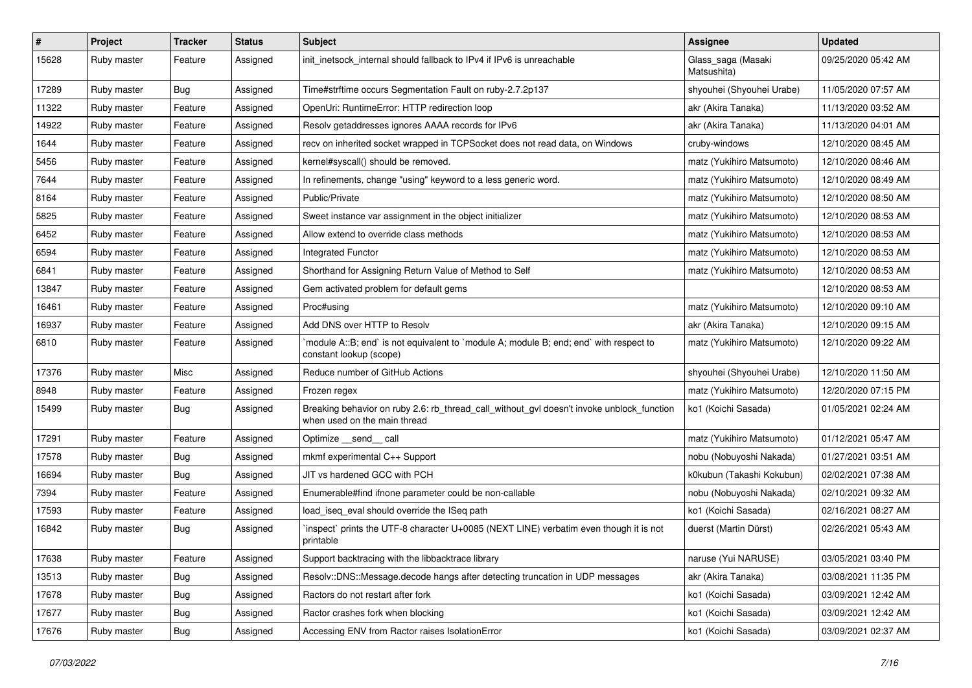| $\vert$ # | Project     | <b>Tracker</b> | <b>Status</b> | Subject                                                                                                                   | Assignee                          | <b>Updated</b>      |
|-----------|-------------|----------------|---------------|---------------------------------------------------------------------------------------------------------------------------|-----------------------------------|---------------------|
| 15628     | Ruby master | Feature        | Assigned      | init_inetsock_internal should fallback to IPv4 if IPv6 is unreachable                                                     | Glass_saga (Masaki<br>Matsushita) | 09/25/2020 05:42 AM |
| 17289     | Ruby master | Bug            | Assigned      | Time#strftime occurs Segmentation Fault on ruby-2.7.2p137                                                                 | shyouhei (Shyouhei Urabe)         | 11/05/2020 07:57 AM |
| 11322     | Ruby master | Feature        | Assigned      | OpenUri: RuntimeError: HTTP redirection loop                                                                              | akr (Akira Tanaka)                | 11/13/2020 03:52 AM |
| 14922     | Ruby master | Feature        | Assigned      | Resolv getaddresses ignores AAAA records for IPv6                                                                         | akr (Akira Tanaka)                | 11/13/2020 04:01 AM |
| 1644      | Ruby master | Feature        | Assigned      | recv on inherited socket wrapped in TCPSocket does not read data, on Windows                                              | cruby-windows                     | 12/10/2020 08:45 AM |
| 5456      | Ruby master | Feature        | Assigned      | kernel#syscall() should be removed.                                                                                       | matz (Yukihiro Matsumoto)         | 12/10/2020 08:46 AM |
| 7644      | Ruby master | Feature        | Assigned      | In refinements, change "using" keyword to a less generic word.                                                            | matz (Yukihiro Matsumoto)         | 12/10/2020 08:49 AM |
| 8164      | Ruby master | Feature        | Assigned      | Public/Private                                                                                                            | matz (Yukihiro Matsumoto)         | 12/10/2020 08:50 AM |
| 5825      | Ruby master | Feature        | Assigned      | Sweet instance var assignment in the object initializer                                                                   | matz (Yukihiro Matsumoto)         | 12/10/2020 08:53 AM |
| 6452      | Ruby master | Feature        | Assigned      | Allow extend to override class methods                                                                                    | matz (Yukihiro Matsumoto)         | 12/10/2020 08:53 AM |
| 6594      | Ruby master | Feature        | Assigned      | Integrated Functor                                                                                                        | matz (Yukihiro Matsumoto)         | 12/10/2020 08:53 AM |
| 6841      | Ruby master | Feature        | Assigned      | Shorthand for Assigning Return Value of Method to Self                                                                    | matz (Yukihiro Matsumoto)         | 12/10/2020 08:53 AM |
| 13847     | Ruby master | Feature        | Assigned      | Gem activated problem for default gems                                                                                    |                                   | 12/10/2020 08:53 AM |
| 16461     | Ruby master | Feature        | Assigned      | Proc#using                                                                                                                | matz (Yukihiro Matsumoto)         | 12/10/2020 09:10 AM |
| 16937     | Ruby master | Feature        | Assigned      | Add DNS over HTTP to Resolv                                                                                               | akr (Akira Tanaka)                | 12/10/2020 09:15 AM |
| 6810      | Ruby master | Feature        | Assigned      | `module A::B; end` is not equivalent to `module A; module B; end; end` with respect to<br>constant lookup (scope)         | matz (Yukihiro Matsumoto)         | 12/10/2020 09:22 AM |
| 17376     | Ruby master | Misc           | Assigned      | Reduce number of GitHub Actions                                                                                           | shyouhei (Shyouhei Urabe)         | 12/10/2020 11:50 AM |
| 8948      | Ruby master | Feature        | Assigned      | Frozen regex                                                                                                              | matz (Yukihiro Matsumoto)         | 12/20/2020 07:15 PM |
| 15499     | Ruby master | Bug            | Assigned      | Breaking behavior on ruby 2.6: rb_thread_call_without_gvl doesn't invoke unblock_function<br>when used on the main thread | ko1 (Koichi Sasada)               | 01/05/2021 02:24 AM |
| 17291     | Ruby master | Feature        | Assigned      | Optimize __send__ call                                                                                                    | matz (Yukihiro Matsumoto)         | 01/12/2021 05:47 AM |
| 17578     | Ruby master | Bug            | Assigned      | mkmf experimental C++ Support                                                                                             | nobu (Nobuyoshi Nakada)           | 01/27/2021 03:51 AM |
| 16694     | Ruby master | Bug            | Assigned      | JIT vs hardened GCC with PCH                                                                                              | k0kubun (Takashi Kokubun)         | 02/02/2021 07:38 AM |
| 7394      | Ruby master | Feature        | Assigned      | Enumerable#find ifnone parameter could be non-callable                                                                    | nobu (Nobuyoshi Nakada)           | 02/10/2021 09:32 AM |
| 17593     | Ruby master | Feature        | Assigned      | load iseg eval should override the ISeg path                                                                              | ko1 (Koichi Sasada)               | 02/16/2021 08:27 AM |
| 16842     | Ruby master | Bug            | Assigned      | inspect` prints the UTF-8 character U+0085 (NEXT LINE) verbatim even though it is not<br>printable                        | duerst (Martin Dürst)             | 02/26/2021 05:43 AM |
| 17638     | Ruby master | Feature        | Assigned      | Support backtracing with the libbacktrace library                                                                         | naruse (Yui NARUSE)               | 03/05/2021 03:40 PM |
| 13513     | Ruby master | <b>Bug</b>     | Assigned      | Resolv::DNS::Message.decode hangs after detecting truncation in UDP messages                                              | akr (Akira Tanaka)                | 03/08/2021 11:35 PM |
| 17678     | Ruby master | <b>Bug</b>     | Assigned      | Ractors do not restart after fork                                                                                         | ko1 (Koichi Sasada)               | 03/09/2021 12:42 AM |
| 17677     | Ruby master | <b>Bug</b>     | Assigned      | Ractor crashes fork when blocking                                                                                         | ko1 (Koichi Sasada)               | 03/09/2021 12:42 AM |
| 17676     | Ruby master | <b>Bug</b>     | Assigned      | Accessing ENV from Ractor raises IsolationError                                                                           | ko1 (Koichi Sasada)               | 03/09/2021 02:37 AM |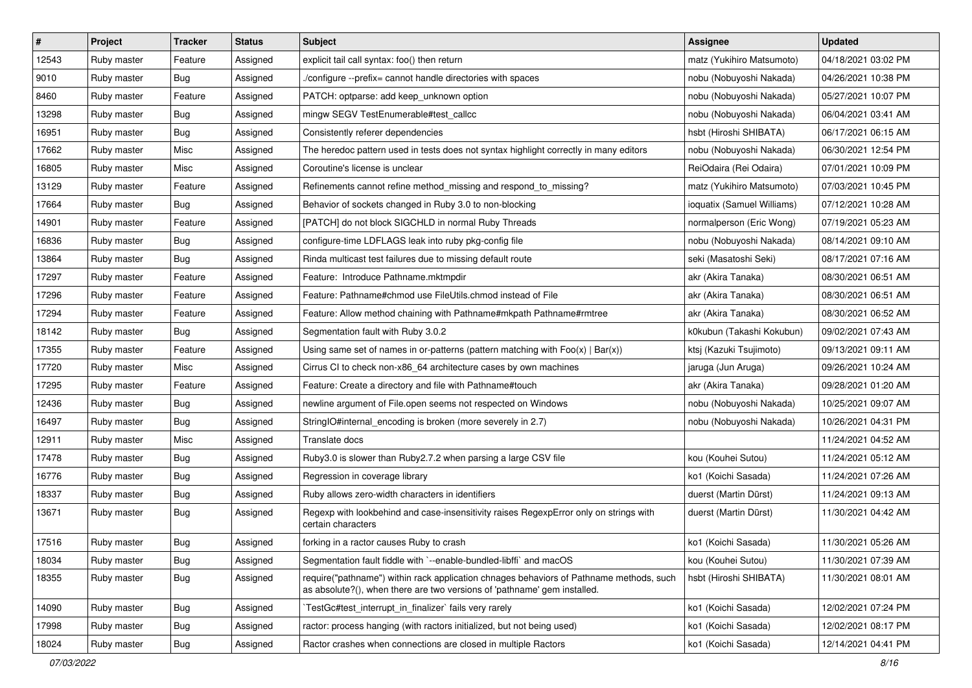| $\vert$ # | Project     | <b>Tracker</b> | <b>Status</b> | Subject                                                                                                                                                             | <b>Assignee</b>            | <b>Updated</b>      |
|-----------|-------------|----------------|---------------|---------------------------------------------------------------------------------------------------------------------------------------------------------------------|----------------------------|---------------------|
| 12543     | Ruby master | Feature        | Assigned      | explicit tail call syntax: foo() then return                                                                                                                        | matz (Yukihiro Matsumoto)  | 04/18/2021 03:02 PM |
| 9010      | Ruby master | Bug            | Assigned      | /configure --prefix= cannot handle directories with spaces                                                                                                          | nobu (Nobuyoshi Nakada)    | 04/26/2021 10:38 PM |
| 8460      | Ruby master | Feature        | Assigned      | PATCH: optparse: add keep_unknown option                                                                                                                            | nobu (Nobuyoshi Nakada)    | 05/27/2021 10:07 PM |
| 13298     | Ruby master | Bug            | Assigned      | mingw SEGV TestEnumerable#test_callcc                                                                                                                               | nobu (Nobuyoshi Nakada)    | 06/04/2021 03:41 AM |
| 16951     | Ruby master | Bug            | Assigned      | Consistently referer dependencies                                                                                                                                   | hsbt (Hiroshi SHIBATA)     | 06/17/2021 06:15 AM |
| 17662     | Ruby master | Misc           | Assigned      | The heredoc pattern used in tests does not syntax highlight correctly in many editors                                                                               | nobu (Nobuyoshi Nakada)    | 06/30/2021 12:54 PM |
| 16805     | Ruby master | Misc           | Assigned      | Coroutine's license is unclear                                                                                                                                      | ReiOdaira (Rei Odaira)     | 07/01/2021 10:09 PM |
| 13129     | Ruby master | Feature        | Assigned      | Refinements cannot refine method missing and respond to missing?                                                                                                    | matz (Yukihiro Matsumoto)  | 07/03/2021 10:45 PM |
| 17664     | Ruby master | Bug            | Assigned      | Behavior of sockets changed in Ruby 3.0 to non-blocking                                                                                                             | ioquatix (Samuel Williams) | 07/12/2021 10:28 AM |
| 14901     | Ruby master | Feature        | Assigned      | [PATCH] do not block SIGCHLD in normal Ruby Threads                                                                                                                 | normalperson (Eric Wong)   | 07/19/2021 05:23 AM |
| 16836     | Ruby master | Bug            | Assigned      | configure-time LDFLAGS leak into ruby pkg-config file                                                                                                               | nobu (Nobuyoshi Nakada)    | 08/14/2021 09:10 AM |
| 13864     | Ruby master | Bug            | Assigned      | Rinda multicast test failures due to missing default route                                                                                                          | seki (Masatoshi Seki)      | 08/17/2021 07:16 AM |
| 17297     | Ruby master | Feature        | Assigned      | Feature: Introduce Pathname.mktmpdir                                                                                                                                | akr (Akira Tanaka)         | 08/30/2021 06:51 AM |
| 17296     | Ruby master | Feature        | Assigned      | Feature: Pathname#chmod use FileUtils.chmod instead of File                                                                                                         | akr (Akira Tanaka)         | 08/30/2021 06:51 AM |
| 17294     | Ruby master | Feature        | Assigned      | Feature: Allow method chaining with Pathname#mkpath Pathname#rmtree                                                                                                 | akr (Akira Tanaka)         | 08/30/2021 06:52 AM |
| 18142     | Ruby master | Bug            | Assigned      | Segmentation fault with Ruby 3.0.2                                                                                                                                  | k0kubun (Takashi Kokubun)  | 09/02/2021 07:43 AM |
| 17355     | Ruby master | Feature        | Assigned      | Using same set of names in or-patterns (pattern matching with $Foo(x)   Bar(x)$ )                                                                                   | ktsj (Kazuki Tsujimoto)    | 09/13/2021 09:11 AM |
| 17720     | Ruby master | Misc           | Assigned      | Cirrus CI to check non-x86_64 architecture cases by own machines                                                                                                    | jaruga (Jun Aruga)         | 09/26/2021 10:24 AM |
| 17295     | Ruby master | Feature        | Assigned      | Feature: Create a directory and file with Pathname#touch                                                                                                            | akr (Akira Tanaka)         | 09/28/2021 01:20 AM |
| 12436     | Ruby master | Bug            | Assigned      | newline argument of File.open seems not respected on Windows                                                                                                        | nobu (Nobuyoshi Nakada)    | 10/25/2021 09:07 AM |
| 16497     | Ruby master | <b>Bug</b>     | Assigned      | StringIO#internal_encoding is broken (more severely in 2.7)                                                                                                         | nobu (Nobuyoshi Nakada)    | 10/26/2021 04:31 PM |
| 12911     | Ruby master | Misc           | Assigned      | Translate docs                                                                                                                                                      |                            | 11/24/2021 04:52 AM |
| 17478     | Ruby master | <b>Bug</b>     | Assigned      | Ruby3.0 is slower than Ruby2.7.2 when parsing a large CSV file                                                                                                      | kou (Kouhei Sutou)         | 11/24/2021 05:12 AM |
| 16776     | Ruby master | <b>Bug</b>     | Assigned      | Regression in coverage library                                                                                                                                      | ko1 (Koichi Sasada)        | 11/24/2021 07:26 AM |
| 18337     | Ruby master | Bug            | Assigned      | Ruby allows zero-width characters in identifiers                                                                                                                    | duerst (Martin Dürst)      | 11/24/2021 09:13 AM |
| 13671     | Ruby master | Bug            | Assigned      | Regexp with lookbehind and case-insensitivity raises RegexpError only on strings with<br>certain characters                                                         | duerst (Martin Dürst)      | 11/30/2021 04:42 AM |
| 17516     | Ruby master | Bug            | Assigned      | forking in a ractor causes Ruby to crash                                                                                                                            | ko1 (Koichi Sasada)        | 11/30/2021 05:26 AM |
| 18034     | Ruby master | <b>Bug</b>     | Assigned      | Segmentation fault fiddle with `--enable-bundled-libffi` and macOS                                                                                                  | kou (Kouhei Sutou)         | 11/30/2021 07:39 AM |
| 18355     | Ruby master | <b>Bug</b>     | Assigned      | require("pathname") within rack application chnages behaviors of Pathname methods, such<br>as absolute?(), when there are two versions of 'pathname' gem installed. | hsbt (Hiroshi SHIBATA)     | 11/30/2021 08:01 AM |
| 14090     | Ruby master | Bug            | Assigned      | TestGc#test interrupt in finalizer` fails very rarely                                                                                                               | ko1 (Koichi Sasada)        | 12/02/2021 07:24 PM |
| 17998     | Ruby master | <b>Bug</b>     | Assigned      | ractor: process hanging (with ractors initialized, but not being used)                                                                                              | ko1 (Koichi Sasada)        | 12/02/2021 08:17 PM |
| 18024     | Ruby master | <b>Bug</b>     | Assigned      | Ractor crashes when connections are closed in multiple Ractors                                                                                                      | ko1 (Koichi Sasada)        | 12/14/2021 04:41 PM |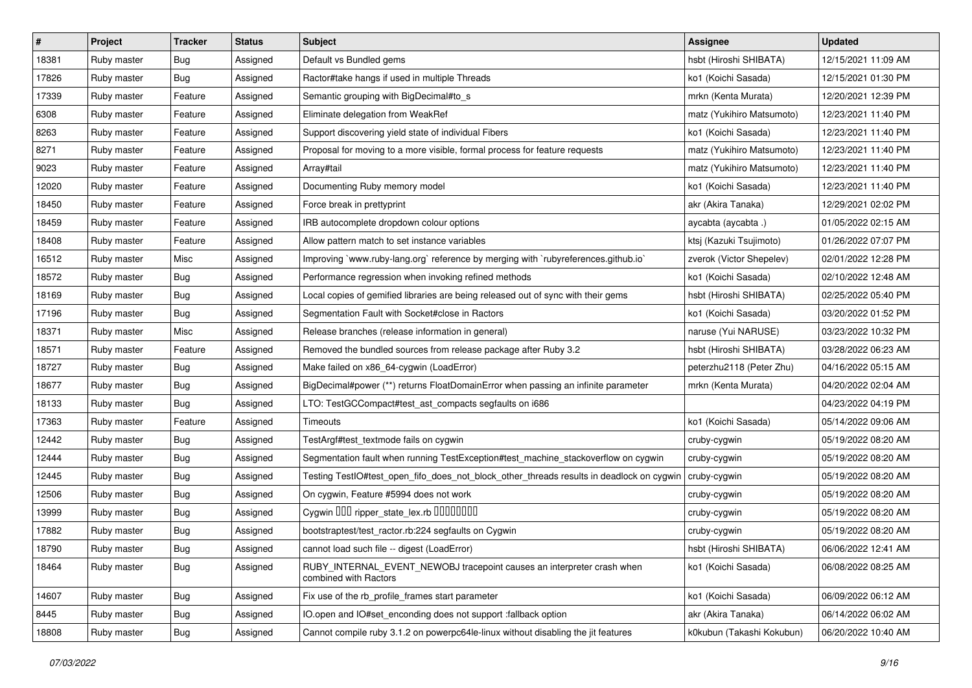| $\vert$ # | Project     | <b>Tracker</b> | <b>Status</b> | <b>Subject</b>                                                                                  | Assignee                  | <b>Updated</b>      |
|-----------|-------------|----------------|---------------|-------------------------------------------------------------------------------------------------|---------------------------|---------------------|
| 18381     | Ruby master | Bug            | Assigned      | Default vs Bundled gems                                                                         | hsbt (Hiroshi SHIBATA)    | 12/15/2021 11:09 AM |
| 17826     | Ruby master | Bug            | Assigned      | Ractor#take hangs if used in multiple Threads                                                   | ko1 (Koichi Sasada)       | 12/15/2021 01:30 PM |
| 17339     | Ruby master | Feature        | Assigned      | Semantic grouping with BigDecimal#to_s                                                          | mrkn (Kenta Murata)       | 12/20/2021 12:39 PM |
| 6308      | Ruby master | Feature        | Assigned      | Eliminate delegation from WeakRef                                                               | matz (Yukihiro Matsumoto) | 12/23/2021 11:40 PM |
| 8263      | Ruby master | Feature        | Assigned      | Support discovering yield state of individual Fibers                                            | ko1 (Koichi Sasada)       | 12/23/2021 11:40 PM |
| 8271      | Ruby master | Feature        | Assigned      | Proposal for moving to a more visible, formal process for feature requests                      | matz (Yukihiro Matsumoto) | 12/23/2021 11:40 PM |
| 9023      | Ruby master | Feature        | Assigned      | Array#tail                                                                                      | matz (Yukihiro Matsumoto) | 12/23/2021 11:40 PM |
| 12020     | Ruby master | Feature        | Assigned      | Documenting Ruby memory model                                                                   | ko1 (Koichi Sasada)       | 12/23/2021 11:40 PM |
| 18450     | Ruby master | Feature        | Assigned      | Force break in prettyprint                                                                      | akr (Akira Tanaka)        | 12/29/2021 02:02 PM |
| 18459     | Ruby master | Feature        | Assigned      | IRB autocomplete dropdown colour options                                                        | aycabta (aycabta.)        | 01/05/2022 02:15 AM |
| 18408     | Ruby master | Feature        | Assigned      | Allow pattern match to set instance variables                                                   | ktsj (Kazuki Tsujimoto)   | 01/26/2022 07:07 PM |
| 16512     | Ruby master | Misc           | Assigned      | Improving `www.ruby-lang.org` reference by merging with `rubyreferences.github.io`              | zverok (Victor Shepelev)  | 02/01/2022 12:28 PM |
| 18572     | Ruby master | Bug            | Assigned      | Performance regression when invoking refined methods                                            | ko1 (Koichi Sasada)       | 02/10/2022 12:48 AM |
| 18169     | Ruby master | <b>Bug</b>     | Assigned      | Local copies of gemified libraries are being released out of sync with their gems               | hsbt (Hiroshi SHIBATA)    | 02/25/2022 05:40 PM |
| 17196     | Ruby master | <b>Bug</b>     | Assigned      | Segmentation Fault with Socket#close in Ractors                                                 | ko1 (Koichi Sasada)       | 03/20/2022 01:52 PM |
| 18371     | Ruby master | Misc           | Assigned      | Release branches (release information in general)                                               | naruse (Yui NARUSE)       | 03/23/2022 10:32 PM |
| 18571     | Ruby master | Feature        | Assigned      | Removed the bundled sources from release package after Ruby 3.2                                 | hsbt (Hiroshi SHIBATA)    | 03/28/2022 06:23 AM |
| 18727     | Ruby master | Bug            | Assigned      | Make failed on x86_64-cygwin (LoadError)                                                        | peterzhu2118 (Peter Zhu)  | 04/16/2022 05:15 AM |
| 18677     | Ruby master | Bug            | Assigned      | BigDecimal#power (**) returns FloatDomainError when passing an infinite parameter               | mrkn (Kenta Murata)       | 04/20/2022 02:04 AM |
| 18133     | Ruby master | Bug            | Assigned      | LTO: TestGCCompact#test_ast_compacts segfaults on i686                                          |                           | 04/23/2022 04:19 PM |
| 17363     | Ruby master | Feature        | Assigned      | Timeouts                                                                                        | ko1 (Koichi Sasada)       | 05/14/2022 09:06 AM |
| 12442     | Ruby master | Bug            | Assigned      | TestArgf#test_textmode fails on cygwin                                                          | cruby-cygwin              | 05/19/2022 08:20 AM |
| 12444     | Ruby master | Bug            | Assigned      | Segmentation fault when running TestException#test_machine_stackoverflow on cygwin              | cruby-cygwin              | 05/19/2022 08:20 AM |
| 12445     | Ruby master | Bug            | Assigned      | Testing TestlO#test_open_fifo_does_not_block_other_threads results in deadlock on cygwin        | cruby-cygwin              | 05/19/2022 08:20 AM |
| 12506     | Ruby master | Bug            | Assigned      | On cygwin, Feature #5994 does not work                                                          | cruby-cygwin              | 05/19/2022 08:20 AM |
| 13999     | Ruby master | Bug            | Assigned      | Cygwin 000 ripper_state_lex.rb 0000000                                                          | cruby-cygwin              | 05/19/2022 08:20 AM |
| 17882     | Ruby master | Bug            | Assigned      | bootstraptest/test_ractor.rb:224 segfaults on Cygwin                                            | cruby-cygwin              | 05/19/2022 08:20 AM |
| 18790     | Ruby master | <b>Bug</b>     | Assigned      | cannot load such file -- digest (LoadError)                                                     | hsbt (Hiroshi SHIBATA)    | 06/06/2022 12:41 AM |
| 18464     | Ruby master | Bug            | Assigned      | RUBY_INTERNAL_EVENT_NEWOBJ tracepoint causes an interpreter crash when<br>combined with Ractors | ko1 (Koichi Sasada)       | 06/08/2022 08:25 AM |
| 14607     | Ruby master | <b>Bug</b>     | Assigned      | Fix use of the rb_profile_frames start parameter                                                | ko1 (Koichi Sasada)       | 06/09/2022 06:12 AM |
| 8445      | Ruby master | Bug            | Assigned      | IO.open and IO#set enconding does not support :fallback option                                  | akr (Akira Tanaka)        | 06/14/2022 06:02 AM |
| 18808     | Ruby master | <b>Bug</b>     | Assigned      | Cannot compile ruby 3.1.2 on powerpc64le-linux without disabling the jit features               | k0kubun (Takashi Kokubun) | 06/20/2022 10:40 AM |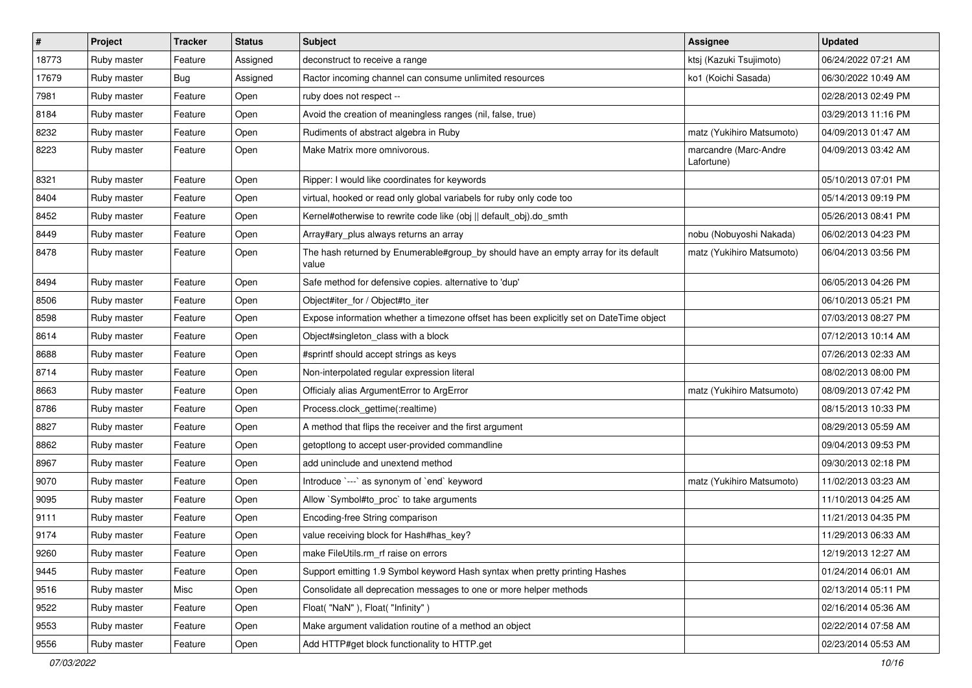| $\vert$ # | Project     | <b>Tracker</b> | <b>Status</b> | Subject                                                                                      | Assignee                            | <b>Updated</b>      |
|-----------|-------------|----------------|---------------|----------------------------------------------------------------------------------------------|-------------------------------------|---------------------|
| 18773     | Ruby master | Feature        | Assigned      | deconstruct to receive a range                                                               | ktsj (Kazuki Tsujimoto)             | 06/24/2022 07:21 AM |
| 17679     | Ruby master | Bug            | Assigned      | Ractor incoming channel can consume unlimited resources                                      | ko1 (Koichi Sasada)                 | 06/30/2022 10:49 AM |
| 7981      | Ruby master | Feature        | Open          | ruby does not respect --                                                                     |                                     | 02/28/2013 02:49 PM |
| 8184      | Ruby master | Feature        | Open          | Avoid the creation of meaningless ranges (nil, false, true)                                  |                                     | 03/29/2013 11:16 PM |
| 8232      | Ruby master | Feature        | Open          | Rudiments of abstract algebra in Ruby                                                        | matz (Yukihiro Matsumoto)           | 04/09/2013 01:47 AM |
| 8223      | Ruby master | Feature        | Open          | Make Matrix more omnivorous.                                                                 | marcandre (Marc-Andre<br>Lafortune) | 04/09/2013 03:42 AM |
| 8321      | Ruby master | Feature        | Open          | Ripper: I would like coordinates for keywords                                                |                                     | 05/10/2013 07:01 PM |
| 8404      | Ruby master | Feature        | Open          | virtual, hooked or read only global variabels for ruby only code too                         |                                     | 05/14/2013 09:19 PM |
| 8452      | Ruby master | Feature        | Open          | Kernel#otherwise to rewrite code like (obj    default_obj).do_smth                           |                                     | 05/26/2013 08:41 PM |
| 8449      | Ruby master | Feature        | Open          | Array#ary_plus always returns an array                                                       | nobu (Nobuyoshi Nakada)             | 06/02/2013 04:23 PM |
| 8478      | Ruby master | Feature        | Open          | The hash returned by Enumerable#group_by should have an empty array for its default<br>value | matz (Yukihiro Matsumoto)           | 06/04/2013 03:56 PM |
| 8494      | Ruby master | Feature        | Open          | Safe method for defensive copies. alternative to 'dup'                                       |                                     | 06/05/2013 04:26 PM |
| 8506      | Ruby master | Feature        | Open          | Object#iter_for / Object#to_iter                                                             |                                     | 06/10/2013 05:21 PM |
| 8598      | Ruby master | Feature        | Open          | Expose information whether a timezone offset has been explicitly set on DateTime object      |                                     | 07/03/2013 08:27 PM |
| 8614      | Ruby master | Feature        | Open          | Object#singleton_class with a block                                                          |                                     | 07/12/2013 10:14 AM |
| 8688      | Ruby master | Feature        | Open          | #sprintf should accept strings as keys                                                       |                                     | 07/26/2013 02:33 AM |
| 8714      | Ruby master | Feature        | Open          | Non-interpolated regular expression literal                                                  |                                     | 08/02/2013 08:00 PM |
| 8663      | Ruby master | Feature        | Open          | Officialy alias ArgumentError to ArgError                                                    | matz (Yukihiro Matsumoto)           | 08/09/2013 07:42 PM |
| 8786      | Ruby master | Feature        | Open          | Process.clock_gettime(:realtime)                                                             |                                     | 08/15/2013 10:33 PM |
| 8827      | Ruby master | Feature        | Open          | A method that flips the receiver and the first argument                                      |                                     | 08/29/2013 05:59 AM |
| 8862      | Ruby master | Feature        | Open          | getoptlong to accept user-provided commandline                                               |                                     | 09/04/2013 09:53 PM |
| 8967      | Ruby master | Feature        | Open          | add uninclude and unextend method                                                            |                                     | 09/30/2013 02:18 PM |
| 9070      | Ruby master | Feature        | Open          | Introduce `---` as synonym of `end` keyword                                                  | matz (Yukihiro Matsumoto)           | 11/02/2013 03:23 AM |
| 9095      | Ruby master | Feature        | Open          | Allow `Symbol#to_proc` to take arguments                                                     |                                     | 11/10/2013 04:25 AM |
| 9111      | Ruby master | Feature        | Open          | Encoding-free String comparison                                                              |                                     | 11/21/2013 04:35 PM |
| 9174      | Ruby master | Feature        | Open          | value receiving block for Hash#has_key?                                                      |                                     | 11/29/2013 06:33 AM |
| 9260      | Ruby master | Feature        | Open          | make FileUtils.rm_rf raise on errors                                                         |                                     | 12/19/2013 12:27 AM |
| 9445      | Ruby master | Feature        | Open          | Support emitting 1.9 Symbol keyword Hash syntax when pretty printing Hashes                  |                                     | 01/24/2014 06:01 AM |
| 9516      | Ruby master | Misc           | Open          | Consolidate all deprecation messages to one or more helper methods                           |                                     | 02/13/2014 05:11 PM |
| 9522      | Ruby master | Feature        | Open          | Float("NaN"), Float("Infinity")                                                              |                                     | 02/16/2014 05:36 AM |
| 9553      | Ruby master | Feature        | Open          | Make argument validation routine of a method an object                                       |                                     | 02/22/2014 07:58 AM |
| 9556      | Ruby master | Feature        | Open          | Add HTTP#get block functionality to HTTP.get                                                 |                                     | 02/23/2014 05:53 AM |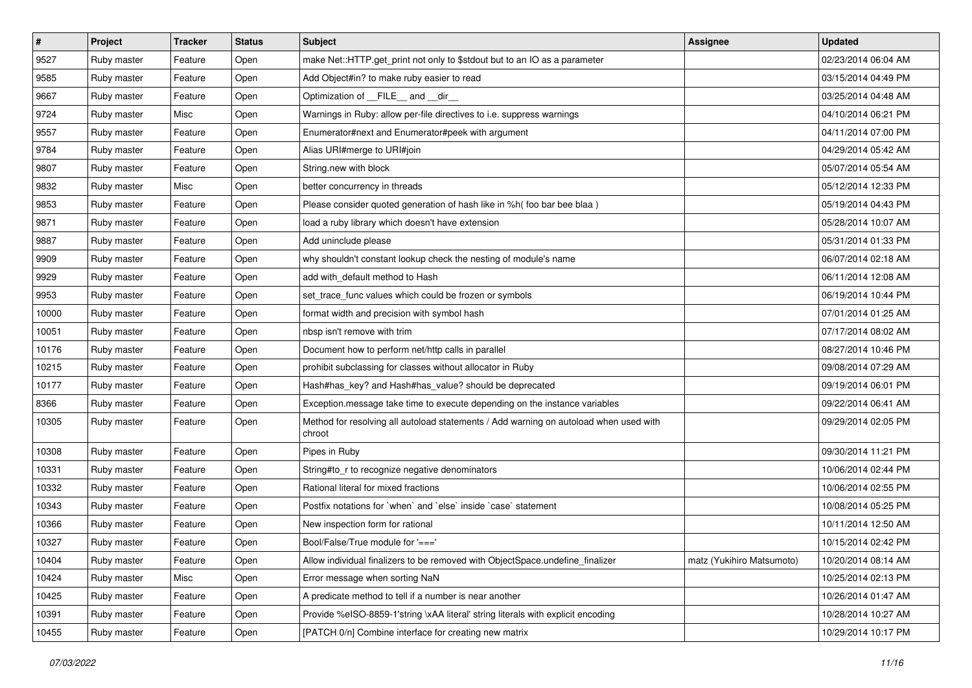| $\sharp$ | Project     | <b>Tracker</b> | <b>Status</b> | Subject                                                                                         | Assignee                  | <b>Updated</b>      |
|----------|-------------|----------------|---------------|-------------------------------------------------------------------------------------------------|---------------------------|---------------------|
| 9527     | Ruby master | Feature        | Open          | make Net::HTTP.get_print not only to \$stdout but to an IO as a parameter                       |                           | 02/23/2014 06:04 AM |
| 9585     | Ruby master | Feature        | Open          | Add Object#in? to make ruby easier to read                                                      |                           | 03/15/2014 04:49 PM |
| 9667     | Ruby master | Feature        | Open          | Optimization of FILE_and _dir                                                                   |                           | 03/25/2014 04:48 AM |
| 9724     | Ruby master | Misc           | Open          | Warnings in Ruby: allow per-file directives to i.e. suppress warnings                           |                           | 04/10/2014 06:21 PM |
| 9557     | Ruby master | Feature        | Open          | Enumerator#next and Enumerator#peek with argument                                               |                           | 04/11/2014 07:00 PM |
| 9784     | Ruby master | Feature        | Open          | Alias URI#merge to URI#join                                                                     |                           | 04/29/2014 05:42 AM |
| 9807     | Ruby master | Feature        | Open          | String.new with block                                                                           |                           | 05/07/2014 05:54 AM |
| 9832     | Ruby master | Misc           | Open          | better concurrency in threads                                                                   |                           | 05/12/2014 12:33 PM |
| 9853     | Ruby master | Feature        | Open          | Please consider quoted generation of hash like in %h( foo bar bee blaa)                         |                           | 05/19/2014 04:43 PM |
| 9871     | Ruby master | Feature        | Open          | load a ruby library which doesn't have extension                                                |                           | 05/28/2014 10:07 AM |
| 9887     | Ruby master | Feature        | Open          | Add uninclude please                                                                            |                           | 05/31/2014 01:33 PM |
| 9909     | Ruby master | Feature        | Open          | why shouldn't constant lookup check the nesting of module's name                                |                           | 06/07/2014 02:18 AM |
| 9929     | Ruby master | Feature        | Open          | add with_default method to Hash                                                                 |                           | 06/11/2014 12:08 AM |
| 9953     | Ruby master | Feature        | Open          | set_trace_func values which could be frozen or symbols                                          |                           | 06/19/2014 10:44 PM |
| 10000    | Ruby master | Feature        | Open          | format width and precision with symbol hash                                                     |                           | 07/01/2014 01:25 AM |
| 10051    | Ruby master | Feature        | Open          | nbsp isn't remove with trim                                                                     |                           | 07/17/2014 08:02 AM |
| 10176    | Ruby master | Feature        | Open          | Document how to perform net/http calls in parallel                                              |                           | 08/27/2014 10:46 PM |
| 10215    | Ruby master | Feature        | Open          | prohibit subclassing for classes without allocator in Ruby                                      |                           | 09/08/2014 07:29 AM |
| 10177    | Ruby master | Feature        | Open          | Hash#has_key? and Hash#has_value? should be deprecated                                          |                           | 09/19/2014 06:01 PM |
| 8366     | Ruby master | Feature        | Open          | Exception.message take time to execute depending on the instance variables                      |                           | 09/22/2014 06:41 AM |
| 10305    | Ruby master | Feature        | Open          | Method for resolving all autoload statements / Add warning on autoload when used with<br>chroot |                           | 09/29/2014 02:05 PM |
| 10308    | Ruby master | Feature        | Open          | Pipes in Ruby                                                                                   |                           | 09/30/2014 11:21 PM |
| 10331    | Ruby master | Feature        | Open          | String#to_r to recognize negative denominators                                                  |                           | 10/06/2014 02:44 PM |
| 10332    | Ruby master | Feature        | Open          | Rational literal for mixed fractions                                                            |                           | 10/06/2014 02:55 PM |
| 10343    | Ruby master | Feature        | Open          | Postfix notations for 'when' and 'else' inside 'case' statement                                 |                           | 10/08/2014 05:25 PM |
| 10366    | Ruby master | Feature        | Open          | New inspection form for rational                                                                |                           | 10/11/2014 12:50 AM |
| 10327    | Ruby master | Feature        | Open          | Bool/False/True module for '==='                                                                |                           | 10/15/2014 02:42 PM |
| 10404    | Ruby master | Feature        | Open          | Allow individual finalizers to be removed with ObjectSpace.undefine finalizer                   | matz (Yukihiro Matsumoto) | 10/20/2014 08:14 AM |
| 10424    | Ruby master | Misc           | Open          | Error message when sorting NaN                                                                  |                           | 10/25/2014 02:13 PM |
| 10425    | Ruby master | Feature        | Open          | A predicate method to tell if a number is near another                                          |                           | 10/26/2014 01:47 AM |
| 10391    | Ruby master | Feature        | Open          | Provide %eISO-8859-1'string \xAA literal' string literals with explicit encoding                |                           | 10/28/2014 10:27 AM |
| 10455    | Ruby master | Feature        | Open          | [PATCH 0/n] Combine interface for creating new matrix                                           |                           | 10/29/2014 10:17 PM |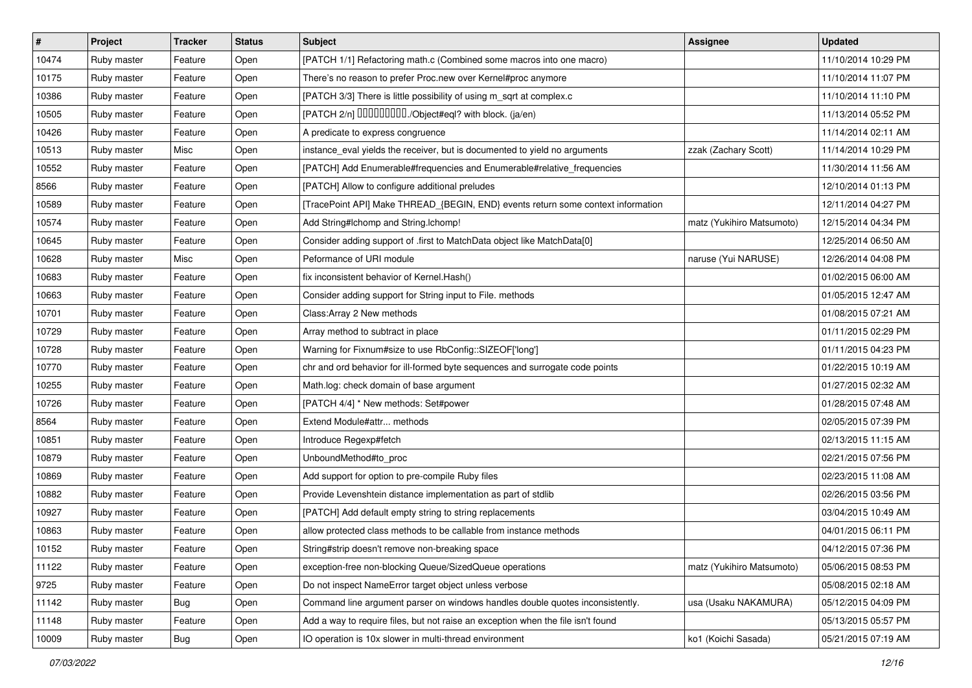| #     | Project     | <b>Tracker</b> | <b>Status</b> | <b>Subject</b>                                                                   | Assignee                  | <b>Updated</b>      |
|-------|-------------|----------------|---------------|----------------------------------------------------------------------------------|---------------------------|---------------------|
| 10474 | Ruby master | Feature        | Open          | [PATCH 1/1] Refactoring math.c (Combined some macros into one macro)             |                           | 11/10/2014 10:29 PM |
| 10175 | Ruby master | Feature        | Open          | There's no reason to prefer Proc.new over Kernel#proc anymore                    |                           | 11/10/2014 11:07 PM |
| 10386 | Ruby master | Feature        | Open          | [PATCH 3/3] There is little possibility of using m_sqrt at complex.c             |                           | 11/10/2014 11:10 PM |
| 10505 | Ruby master | Feature        | Open          | [PATCH 2/n] DDDDDDDD./Object#eql? with block. (ja/en)                            |                           | 11/13/2014 05:52 PM |
| 10426 | Ruby master | Feature        | Open          | A predicate to express congruence                                                |                           | 11/14/2014 02:11 AM |
| 10513 | Ruby master | Misc           | Open          | instance_eval yields the receiver, but is documented to yield no arguments       | zzak (Zachary Scott)      | 11/14/2014 10:29 PM |
| 10552 | Ruby master | Feature        | Open          | [PATCH] Add Enumerable#frequencies and Enumerable#relative_frequencies           |                           | 11/30/2014 11:56 AM |
| 8566  | Ruby master | Feature        | Open          | [PATCH] Allow to configure additional preludes                                   |                           | 12/10/2014 01:13 PM |
| 10589 | Ruby master | Feature        | Open          | [TracePoint API] Make THREAD_{BEGIN, END} events return some context information |                           | 12/11/2014 04:27 PM |
| 10574 | Ruby master | Feature        | Open          | Add String#Ichomp and String.Ichomp!                                             | matz (Yukihiro Matsumoto) | 12/15/2014 04:34 PM |
| 10645 | Ruby master | Feature        | Open          | Consider adding support of .first to MatchData object like MatchData[0]          |                           | 12/25/2014 06:50 AM |
| 10628 | Ruby master | Misc           | Open          | Peformance of URI module                                                         | naruse (Yui NARUSE)       | 12/26/2014 04:08 PM |
| 10683 | Ruby master | Feature        | Open          | fix inconsistent behavior of Kernel. Hash()                                      |                           | 01/02/2015 06:00 AM |
| 10663 | Ruby master | Feature        | Open          | Consider adding support for String input to File. methods                        |                           | 01/05/2015 12:47 AM |
| 10701 | Ruby master | Feature        | Open          | Class: Array 2 New methods                                                       |                           | 01/08/2015 07:21 AM |
| 10729 | Ruby master | Feature        | Open          | Array method to subtract in place                                                |                           | 01/11/2015 02:29 PM |
| 10728 | Ruby master | Feature        | Open          | Warning for Fixnum#size to use RbConfig::SIZEOF['long']                          |                           | 01/11/2015 04:23 PM |
| 10770 | Ruby master | Feature        | Open          | chr and ord behavior for ill-formed byte sequences and surrogate code points     |                           | 01/22/2015 10:19 AM |
| 10255 | Ruby master | Feature        | Open          | Math.log: check domain of base argument                                          |                           | 01/27/2015 02:32 AM |
| 10726 | Ruby master | Feature        | Open          | [PATCH 4/4] * New methods: Set#power                                             |                           | 01/28/2015 07:48 AM |
| 8564  | Ruby master | Feature        | Open          | Extend Module#attr methods                                                       |                           | 02/05/2015 07:39 PM |
| 10851 | Ruby master | Feature        | Open          | Introduce Regexp#fetch                                                           |                           | 02/13/2015 11:15 AM |
| 10879 | Ruby master | Feature        | Open          | UnboundMethod#to_proc                                                            |                           | 02/21/2015 07:56 PM |
| 10869 | Ruby master | Feature        | Open          | Add support for option to pre-compile Ruby files                                 |                           | 02/23/2015 11:08 AM |
| 10882 | Ruby master | Feature        | Open          | Provide Levenshtein distance implementation as part of stdlib                    |                           | 02/26/2015 03:56 PM |
| 10927 | Ruby master | Feature        | Open          | [PATCH] Add default empty string to string replacements                          |                           | 03/04/2015 10:49 AM |
| 10863 | Ruby master | Feature        | Open          | allow protected class methods to be callable from instance methods               |                           | 04/01/2015 06:11 PM |
| 10152 | Ruby master | Feature        | Open          | String#strip doesn't remove non-breaking space                                   |                           | 04/12/2015 07:36 PM |
| 11122 | Ruby master | Feature        | Open          | exception-free non-blocking Queue/SizedQueue operations                          | matz (Yukihiro Matsumoto) | 05/06/2015 08:53 PM |
| 9725  | Ruby master | Feature        | Open          | Do not inspect NameError target object unless verbose                            |                           | 05/08/2015 02:18 AM |
| 11142 | Ruby master | <b>Bug</b>     | Open          | Command line argument parser on windows handles double quotes inconsistently.    | usa (Usaku NAKAMURA)      | 05/12/2015 04:09 PM |
| 11148 | Ruby master | Feature        | Open          | Add a way to require files, but not raise an exception when the file isn't found |                           | 05/13/2015 05:57 PM |
| 10009 | Ruby master | Bug            | Open          | IO operation is 10x slower in multi-thread environment                           | ko1 (Koichi Sasada)       | 05/21/2015 07:19 AM |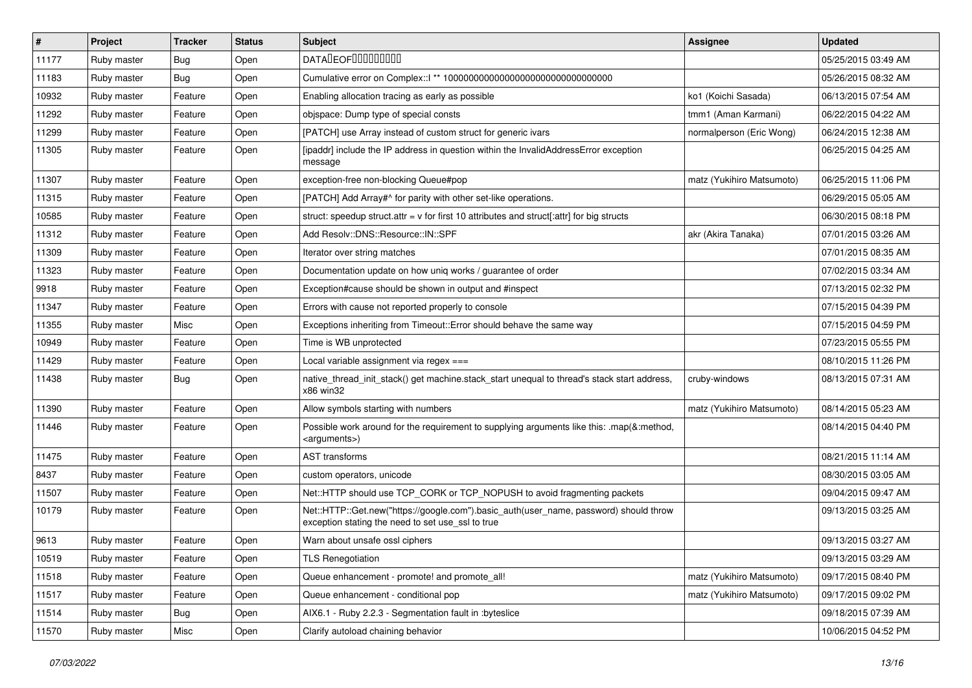| $\vert$ # | Project     | <b>Tracker</b> | <b>Status</b> | Subject                                                                                                                                    | <b>Assignee</b>           | <b>Updated</b>      |
|-----------|-------------|----------------|---------------|--------------------------------------------------------------------------------------------------------------------------------------------|---------------------------|---------------------|
| 11177     | Ruby master | Bug            | Open          | <b>DATADEOFOOOOOOOO</b>                                                                                                                    |                           | 05/25/2015 03:49 AM |
| 11183     | Ruby master | Bug            | Open          |                                                                                                                                            |                           | 05/26/2015 08:32 AM |
| 10932     | Ruby master | Feature        | Open          | Enabling allocation tracing as early as possible                                                                                           | ko1 (Koichi Sasada)       | 06/13/2015 07:54 AM |
| 11292     | Ruby master | Feature        | Open          | objspace: Dump type of special consts                                                                                                      | tmm1 (Aman Karmani)       | 06/22/2015 04:22 AM |
| 11299     | Ruby master | Feature        | Open          | [PATCH] use Array instead of custom struct for generic ivars                                                                               | normalperson (Eric Wong)  | 06/24/2015 12:38 AM |
| 11305     | Ruby master | Feature        | Open          | [ipaddr] include the IP address in question within the InvalidAddressError exception<br>message                                            |                           | 06/25/2015 04:25 AM |
| 11307     | Ruby master | Feature        | Open          | exception-free non-blocking Queue#pop                                                                                                      | matz (Yukihiro Matsumoto) | 06/25/2015 11:06 PM |
| 11315     | Ruby master | Feature        | Open          | [PATCH] Add Array#^ for parity with other set-like operations.                                                                             |                           | 06/29/2015 05:05 AM |
| 10585     | Ruby master | Feature        | Open          | struct: speedup struct.attr = $v$ for first 10 attributes and struct[:attr] for big structs                                                |                           | 06/30/2015 08:18 PM |
| 11312     | Ruby master | Feature        | Open          | Add Resolv::DNS::Resource::IN::SPF                                                                                                         | akr (Akira Tanaka)        | 07/01/2015 03:26 AM |
| 11309     | Ruby master | Feature        | Open          | Iterator over string matches                                                                                                               |                           | 07/01/2015 08:35 AM |
| 11323     | Ruby master | Feature        | Open          | Documentation update on how uniq works / guarantee of order                                                                                |                           | 07/02/2015 03:34 AM |
| 9918      | Ruby master | Feature        | Open          | Exception#cause should be shown in output and #inspect                                                                                     |                           | 07/13/2015 02:32 PM |
| 11347     | Ruby master | Feature        | Open          | Errors with cause not reported properly to console                                                                                         |                           | 07/15/2015 04:39 PM |
| 11355     | Ruby master | Misc           | Open          | Exceptions inheriting from Timeout:: Error should behave the same way                                                                      |                           | 07/15/2015 04:59 PM |
| 10949     | Ruby master | Feature        | Open          | Time is WB unprotected                                                                                                                     |                           | 07/23/2015 05:55 PM |
| 11429     | Ruby master | Feature        | Open          | Local variable assignment via regex ===                                                                                                    |                           | 08/10/2015 11:26 PM |
| 11438     | Ruby master | Bug            | Open          | native_thread_init_stack() get machine.stack_start unequal to thread's stack start address,<br>x86 win32                                   | cruby-windows             | 08/13/2015 07:31 AM |
| 11390     | Ruby master | Feature        | Open          | Allow symbols starting with numbers                                                                                                        | matz (Yukihiro Matsumoto) | 08/14/2015 05:23 AM |
| 11446     | Ruby master | Feature        | Open          | Possible work around for the requirement to supplying arguments like this: .map(&:method,<br><arguments>)</arguments>                      |                           | 08/14/2015 04:40 PM |
| 11475     | Ruby master | Feature        | Open          | <b>AST</b> transforms                                                                                                                      |                           | 08/21/2015 11:14 AM |
| 8437      | Ruby master | Feature        | Open          | custom operators, unicode                                                                                                                  |                           | 08/30/2015 03:05 AM |
| 11507     | Ruby master | Feature        | Open          | Net::HTTP should use TCP_CORK or TCP_NOPUSH to avoid fragmenting packets                                                                   |                           | 09/04/2015 09:47 AM |
| 10179     | Ruby master | Feature        | Open          | Net::HTTP::Get.new("https://google.com").basic_auth(user_name, password) should throw<br>exception stating the need to set use_ssl to true |                           | 09/13/2015 03:25 AM |
| 9613      | Ruby master | Feature        | Open          | Warn about unsafe ossl ciphers                                                                                                             |                           | 09/13/2015 03:27 AM |
| 10519     | Ruby master | Feature        | Open          | <b>TLS Renegotiation</b>                                                                                                                   |                           | 09/13/2015 03:29 AM |
| 11518     | Ruby master | Feature        | Open          | Queue enhancement - promote! and promote_all!                                                                                              | matz (Yukihiro Matsumoto) | 09/17/2015 08:40 PM |
| 11517     | Ruby master | Feature        | Open          | Queue enhancement - conditional pop                                                                                                        | matz (Yukihiro Matsumoto) | 09/17/2015 09:02 PM |
| 11514     | Ruby master | <b>Bug</b>     | Open          | AIX6.1 - Ruby 2.2.3 - Segmentation fault in :byteslice                                                                                     |                           | 09/18/2015 07:39 AM |
| 11570     | Ruby master | Misc           | Open          | Clarify autoload chaining behavior                                                                                                         |                           | 10/06/2015 04:52 PM |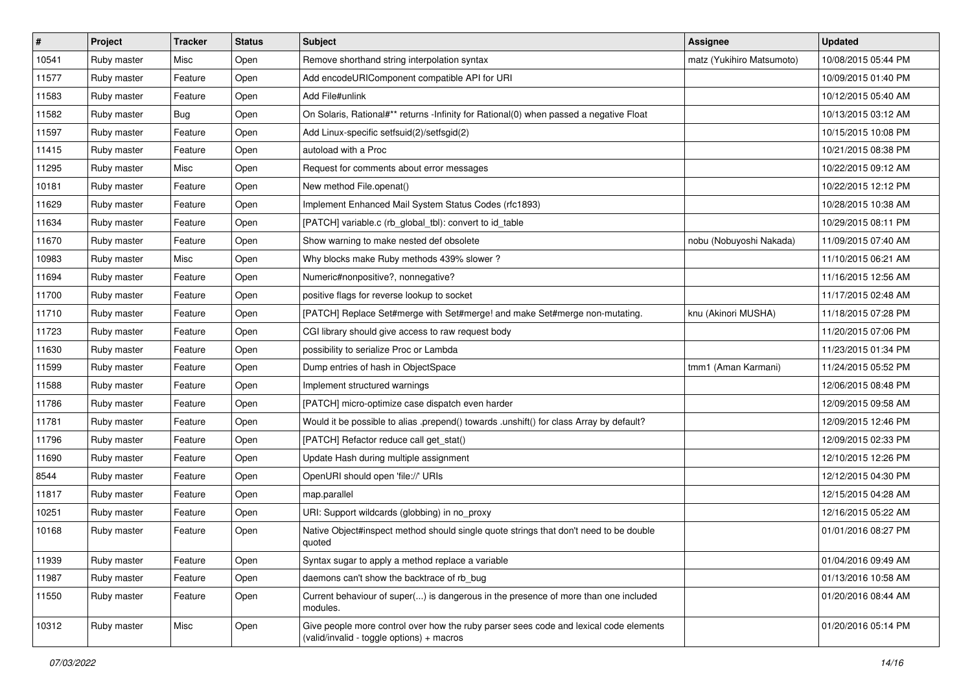| $\vert$ # | Project     | <b>Tracker</b> | <b>Status</b> | <b>Subject</b>                                                                                                                     | Assignee                  | <b>Updated</b>      |
|-----------|-------------|----------------|---------------|------------------------------------------------------------------------------------------------------------------------------------|---------------------------|---------------------|
| 10541     | Ruby master | Misc           | Open          | Remove shorthand string interpolation syntax                                                                                       | matz (Yukihiro Matsumoto) | 10/08/2015 05:44 PM |
| 11577     | Ruby master | Feature        | Open          | Add encodeURIComponent compatible API for URI                                                                                      |                           | 10/09/2015 01:40 PM |
| 11583     | Ruby master | Feature        | Open          | Add File#unlink                                                                                                                    |                           | 10/12/2015 05:40 AM |
| 11582     | Ruby master | Bug            | Open          | On Solaris, Rational#** returns -Infinity for Rational(0) when passed a negative Float                                             |                           | 10/13/2015 03:12 AM |
| 11597     | Ruby master | Feature        | Open          | Add Linux-specific setfsuid(2)/setfsgid(2)                                                                                         |                           | 10/15/2015 10:08 PM |
| 11415     | Ruby master | Feature        | Open          | autoload with a Proc                                                                                                               |                           | 10/21/2015 08:38 PM |
| 11295     | Ruby master | Misc           | Open          | Request for comments about error messages                                                                                          |                           | 10/22/2015 09:12 AM |
| 10181     | Ruby master | Feature        | Open          | New method File.openat()                                                                                                           |                           | 10/22/2015 12:12 PM |
| 11629     | Ruby master | Feature        | Open          | Implement Enhanced Mail System Status Codes (rfc1893)                                                                              |                           | 10/28/2015 10:38 AM |
| 11634     | Ruby master | Feature        | Open          | [PATCH] variable.c (rb_global_tbl): convert to id_table                                                                            |                           | 10/29/2015 08:11 PM |
| 11670     | Ruby master | Feature        | Open          | Show warning to make nested def obsolete                                                                                           | nobu (Nobuyoshi Nakada)   | 11/09/2015 07:40 AM |
| 10983     | Ruby master | Misc           | Open          | Why blocks make Ruby methods 439% slower?                                                                                          |                           | 11/10/2015 06:21 AM |
| 11694     | Ruby master | Feature        | Open          | Numeric#nonpositive?, nonnegative?                                                                                                 |                           | 11/16/2015 12:56 AM |
| 11700     | Ruby master | Feature        | Open          | positive flags for reverse lookup to socket                                                                                        |                           | 11/17/2015 02:48 AM |
| 11710     | Ruby master | Feature        | Open          | [PATCH] Replace Set#merge with Set#merge! and make Set#merge non-mutating.                                                         | knu (Akinori MUSHA)       | 11/18/2015 07:28 PM |
| 11723     | Ruby master | Feature        | Open          | CGI library should give access to raw request body                                                                                 |                           | 11/20/2015 07:06 PM |
| 11630     | Ruby master | Feature        | Open          | possibility to serialize Proc or Lambda                                                                                            |                           | 11/23/2015 01:34 PM |
| 11599     | Ruby master | Feature        | Open          | Dump entries of hash in ObjectSpace                                                                                                | tmm1 (Aman Karmani)       | 11/24/2015 05:52 PM |
| 11588     | Ruby master | Feature        | Open          | Implement structured warnings                                                                                                      |                           | 12/06/2015 08:48 PM |
| 11786     | Ruby master | Feature        | Open          | [PATCH] micro-optimize case dispatch even harder                                                                                   |                           | 12/09/2015 09:58 AM |
| 11781     | Ruby master | Feature        | Open          | Would it be possible to alias .prepend() towards .unshift() for class Array by default?                                            |                           | 12/09/2015 12:46 PM |
| 11796     | Ruby master | Feature        | Open          | [PATCH] Refactor reduce call get_stat()                                                                                            |                           | 12/09/2015 02:33 PM |
| 11690     | Ruby master | Feature        | Open          | Update Hash during multiple assignment                                                                                             |                           | 12/10/2015 12:26 PM |
| 8544      | Ruby master | Feature        | Open          | OpenURI should open 'file://' URIs                                                                                                 |                           | 12/12/2015 04:30 PM |
| 11817     | Ruby master | Feature        | Open          | map.parallel                                                                                                                       |                           | 12/15/2015 04:28 AM |
| 10251     | Ruby master | Feature        | Open          | URI: Support wildcards (globbing) in no_proxy                                                                                      |                           | 12/16/2015 05:22 AM |
| 10168     | Ruby master | Feature        | Open          | Native Object#inspect method should single quote strings that don't need to be double<br>quoted                                    |                           | 01/01/2016 08:27 PM |
| 11939     | Ruby master | Feature        | Open          | Syntax sugar to apply a method replace a variable                                                                                  |                           | 01/04/2016 09:49 AM |
| 11987     | Ruby master | Feature        | Open          | daemons can't show the backtrace of rb bug                                                                                         |                           | 01/13/2016 10:58 AM |
| 11550     | Ruby master | Feature        | Open          | Current behaviour of super() is dangerous in the presence of more than one included<br>modules.                                    |                           | 01/20/2016 08:44 AM |
| 10312     | Ruby master | Misc           | Open          | Give people more control over how the ruby parser sees code and lexical code elements<br>(valid/invalid - toggle options) + macros |                           | 01/20/2016 05:14 PM |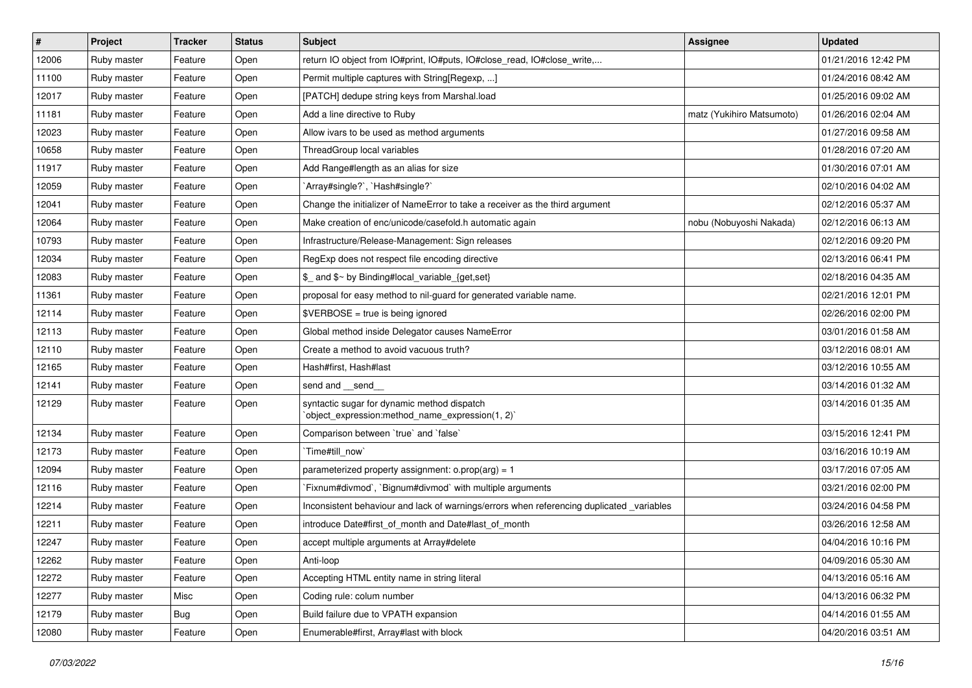| $\sharp$ | Project     | <b>Tracker</b> | <b>Status</b> | Subject                                                                                         | Assignee                  | <b>Updated</b>      |
|----------|-------------|----------------|---------------|-------------------------------------------------------------------------------------------------|---------------------------|---------------------|
| 12006    | Ruby master | Feature        | Open          | return IO object from IO#print, IO#puts, IO#close_read, IO#close_write,                         |                           | 01/21/2016 12:42 PM |
| 11100    | Ruby master | Feature        | Open          | Permit multiple captures with String[Regexp, ]                                                  |                           | 01/24/2016 08:42 AM |
| 12017    | Ruby master | Feature        | Open          | [PATCH] dedupe string keys from Marshal.load                                                    |                           | 01/25/2016 09:02 AM |
| 11181    | Ruby master | Feature        | Open          | Add a line directive to Ruby                                                                    | matz (Yukihiro Matsumoto) | 01/26/2016 02:04 AM |
| 12023    | Ruby master | Feature        | Open          | Allow ivars to be used as method arguments                                                      |                           | 01/27/2016 09:58 AM |
| 10658    | Ruby master | Feature        | Open          | ThreadGroup local variables                                                                     |                           | 01/28/2016 07:20 AM |
| 11917    | Ruby master | Feature        | Open          | Add Range#length as an alias for size                                                           |                           | 01/30/2016 07:01 AM |
| 12059    | Ruby master | Feature        | Open          | `Array#single?`, `Hash#single?`                                                                 |                           | 02/10/2016 04:02 AM |
| 12041    | Ruby master | Feature        | Open          | Change the initializer of NameError to take a receiver as the third argument                    |                           | 02/12/2016 05:37 AM |
| 12064    | Ruby master | Feature        | Open          | Make creation of enc/unicode/casefold.h automatic again                                         | nobu (Nobuyoshi Nakada)   | 02/12/2016 06:13 AM |
| 10793    | Ruby master | Feature        | Open          | Infrastructure/Release-Management: Sign releases                                                |                           | 02/12/2016 09:20 PM |
| 12034    | Ruby master | Feature        | Open          | RegExp does not respect file encoding directive                                                 |                           | 02/13/2016 06:41 PM |
| 12083    | Ruby master | Feature        | Open          | \$_ and \$~ by Binding#local_variable_{get,set}                                                 |                           | 02/18/2016 04:35 AM |
| 11361    | Ruby master | Feature        | Open          | proposal for easy method to nil-guard for generated variable name.                              |                           | 02/21/2016 12:01 PM |
| 12114    | Ruby master | Feature        | Open          | $$VERBOSE = true is being ignored$                                                              |                           | 02/26/2016 02:00 PM |
| 12113    | Ruby master | Feature        | Open          | Global method inside Delegator causes NameError                                                 |                           | 03/01/2016 01:58 AM |
| 12110    | Ruby master | Feature        | Open          | Create a method to avoid vacuous truth?                                                         |                           | 03/12/2016 08:01 AM |
| 12165    | Ruby master | Feature        | Open          | Hash#first, Hash#last                                                                           |                           | 03/12/2016 10:55 AM |
| 12141    | Ruby master | Feature        | Open          | send and __send_                                                                                |                           | 03/14/2016 01:32 AM |
| 12129    | Ruby master | Feature        | Open          | syntactic sugar for dynamic method dispatch<br>'object_expression:method_name_expression(1, 2)' |                           | 03/14/2016 01:35 AM |
| 12134    | Ruby master | Feature        | Open          | Comparison between 'true' and 'false'                                                           |                           | 03/15/2016 12:41 PM |
| 12173    | Ruby master | Feature        | Open          | Time#till_now`                                                                                  |                           | 03/16/2016 10:19 AM |
| 12094    | Ruby master | Feature        | Open          | parameterized property assignment: $o.prop(arg) = 1$                                            |                           | 03/17/2016 07:05 AM |
| 12116    | Ruby master | Feature        | Open          | Fixnum#divmod`, `Bignum#divmod` with multiple arguments                                         |                           | 03/21/2016 02:00 PM |
| 12214    | Ruby master | Feature        | Open          | Inconsistent behaviour and lack of warnings/errors when referencing duplicated _variables       |                           | 03/24/2016 04:58 PM |
| 12211    | Ruby master | Feature        | Open          | introduce Date#first of month and Date#last of month                                            |                           | 03/26/2016 12:58 AM |
| 12247    | Ruby master | Feature        | Open          | accept multiple arguments at Array#delete                                                       |                           | 04/04/2016 10:16 PM |
| 12262    | Ruby master | Feature        | Open          | Anti-loop                                                                                       |                           | 04/09/2016 05:30 AM |
| 12272    | Ruby master | Feature        | Open          | Accepting HTML entity name in string literal                                                    |                           | 04/13/2016 05:16 AM |
| 12277    | Ruby master | Misc           | Open          | Coding rule: colum number                                                                       |                           | 04/13/2016 06:32 PM |
| 12179    | Ruby master | <b>Bug</b>     | Open          | Build failure due to VPATH expansion                                                            |                           | 04/14/2016 01:55 AM |
| 12080    | Ruby master | Feature        | Open          | Enumerable#first, Array#last with block                                                         |                           | 04/20/2016 03:51 AM |